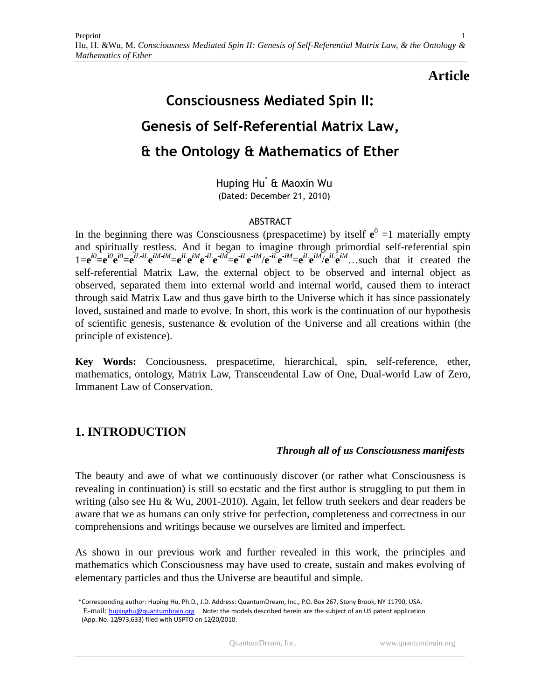# **Article**

# **Consciousness Mediated Spin II: Genesis of Self-Referential Matrix Law, & the Ontology & Mathematics of Ether**

Huping Hu\* & Maoxin Wu (Dated: December 21, 2010)

### ABSTRACT

In the beginning there was Consciousness (prespacetime) by itself  $e^0 = 1$  materially empty and spiritually restless. And it began to imagine through primordial self-referential spin  $1=e^{i\theta} = e^{i\theta}e^{i\theta} = e^{iL-iL}e^{iM-iM} = e^{iL}e^{iM}e^{-iL}e^{-iM} = e^{iL}e^{-iM}e^{-iL}e^{-iM} = e^{iL}e^{iM}e^{iL}e^{iM}$ ... such that it created the self-referential Matrix Law, the external object to be observed and internal object as observed, separated them into external world and internal world, caused them to interact through said Matrix Law and thus gave birth to the Universe which it has since passionately loved, sustained and made to evolve. In short, this work is the continuation of our hypothesis of scientific genesis, sustenance & evolution of the Universe and all creations within (the principle of existence).

**Key Words:** Conciousness, prespacetime, hierarchical, spin, self-reference, ether, mathematics, ontology, Matrix Law, Transcendental Law of One, Dual-world Law of Zero, Immanent Law of Conservation.

# **1. INTRODUCTION**

 $\overline{a}$ 

# *Through all of us Consciousness manifests*

The beauty and awe of what we continuously discover (or rather what Consciousness is revealing in continuation) is still so ecstatic and the first author is struggling to put them in writing (also see Hu & Wu, 2001-2010). Again, let fellow truth seekers and dear readers be aware that we as humans can only strive for perfection, completeness and correctness in our comprehensions and writings because we ourselves are limited and imperfect.

As shown in our previous work and further revealed in this work, the principles and mathematics which Consciousness may have used to create, sustain and makes evolving of elementary particles and thus the Universe are beautiful and simple.

 <sup>\*</sup>Corresponding author: Huping Hu, Ph.D., J.D. Address: QuantumDream, Inc., P.O. Box 267, Stony Brook, NY 11790, USA. E-mail: [hupinghu@quantumbrain.org](mailto:hupinghu@quantumbrain.org) Note: the models described herein are the subject of an US patent application (App. No. 12/973,633) filed with USPTO on 12/20/2010.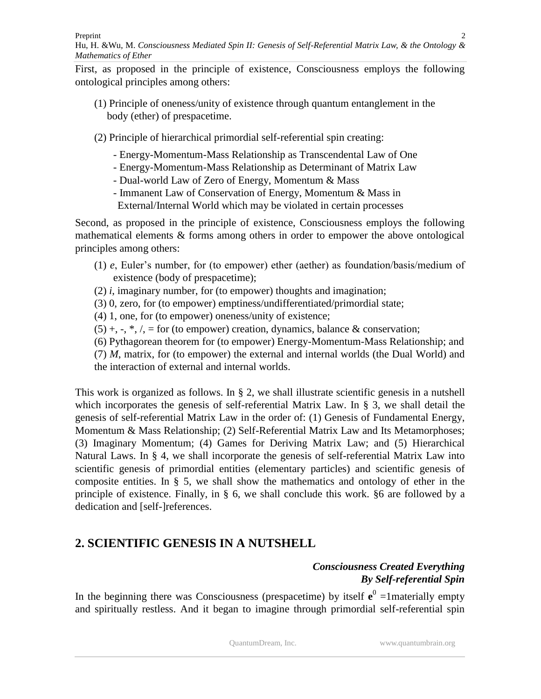Preprint Hu, H. &Wu*,* M. *Consciousness Mediated Spin II: Genesis of Self-Referential Matrix Law, & the Ontology & Mathematics of Ether*

First, as proposed in the principle of existence, Consciousness employs the following ontological principles among others:

- (1) Principle of oneness/unity of existence through quantum entanglement in the body (ether) of prespacetime.
- (2) Principle of hierarchical primordial self-referential spin creating:
	- Energy-Momentum-Mass Relationship as Transcendental Law of One
	- Energy-Momentum-Mass Relationship as Determinant of Matrix Law
	- Dual-world Law of Zero of Energy, Momentum & Mass
	- Immanent Law of Conservation of Energy, Momentum & Mass in
	- External/Internal World which may be violated in certain processes

Second, as proposed in the principle of existence, Consciousness employs the following mathematical elements & forms among others in order to empower the above ontological principles among others:

- (1) *e*, Euler's number, for (to empower) ether (aether) as foundation/basis/medium of existence (body of prespacetime);
- (2) *i*, imaginary number, for (to empower) thoughts and imagination;
- (3) 0, zero, for (to empower) emptiness/undifferentiated/primordial state;
- (4) 1, one, for (to empower) oneness/unity of existence;
- $(5) +, \ldots, *, /, =$  for (to empower) creation, dynamics, balance & conservation;
- (6) Pythagorean theorem for (to empower) Energy-Momentum-Mass Relationship; and
- (7) *M*, matrix, for (to empower) the external and internal worlds (the Dual World) and

the interaction of external and internal worlds.

This work is organized as follows. In § 2, we shall illustrate scientific genesis in a nutshell which incorporates the genesis of self-referential Matrix Law. In § 3, we shall detail the genesis of self-referential Matrix Law in the order of: (1) Genesis of Fundamental Energy, Momentum & Mass Relationship; (2) Self-Referential Matrix Law and Its Metamorphoses; (3) Imaginary Momentum; (4) Games for Deriving Matrix Law; and (5) Hierarchical Natural Laws. In § 4, we shall incorporate the genesis of self-referential Matrix Law into scientific genesis of primordial entities (elementary particles) and scientific genesis of composite entities. In § 5, we shall show the mathematics and ontology of ether in the principle of existence. Finally, in § 6, we shall conclude this work. §6 are followed by a dedication and [self-]references.

# **2. SCIENTIFIC GENESIS IN A NUTSHELL**

# *Consciousness Created Everything By Self-referential Spin*

In the beginning there was Consciousness (prespacetime) by itself  $e^0$  =1materially empty and spiritually restless. And it began to imagine through primordial self-referential spin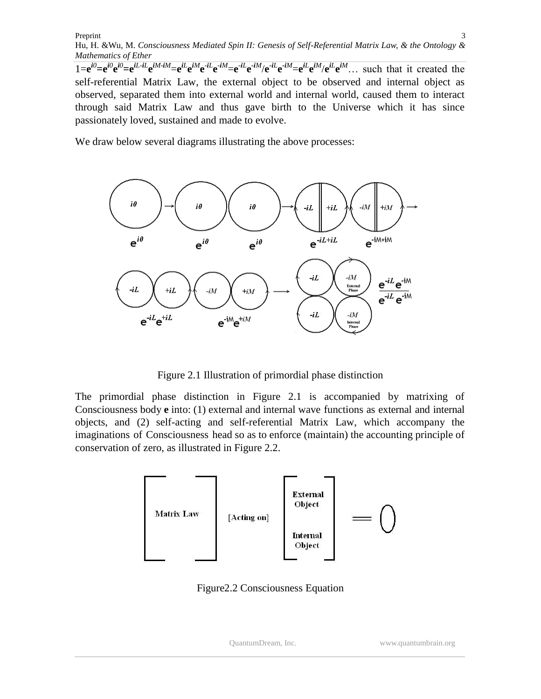Hu, H. &Wu*,* M. *Consciousness Mediated Spin II: Genesis of Self-Referential Matrix Law, & the Ontology & Mathematics of Ether*

 $1=e^{i\theta}$  $= e^{i\theta}e^{i\theta}$  $= e^{iL-iL}e^{iM+iM}$  $= e^{iL}e^{iM}e^{-iL}e^{-iM}$  $= e^{iL}e^{-iM}/e^{-iL}e^{-iM}$  $= e^{iL}e^{iM}/e^{iL}e^{iM}$ ... such that it created the self-referential Matrix Law, the external object to be observed and internal object as observed, separated them into external world and internal world, caused them to interact through said Matrix Law and thus gave birth to the Universe which it has since passionately loved, sustained and made to evolve.

We draw below several diagrams illustrating the above processes:



Figure 2.1 Illustration of primordial phase distinction

The primordial phase distinction in Figure 2.1 is accompanied by matrixing of Consciousness body **e** into: (1) external and internal wave functions as external and internal objects, and (2) self-acting and self-referential Matrix Law, which accompany the imaginations of Consciousness head so as to enforce (maintain) the accounting principle of conservation of zero, as illustrated in Figure 2.2.



Figure2.2 Consciousness Equation

3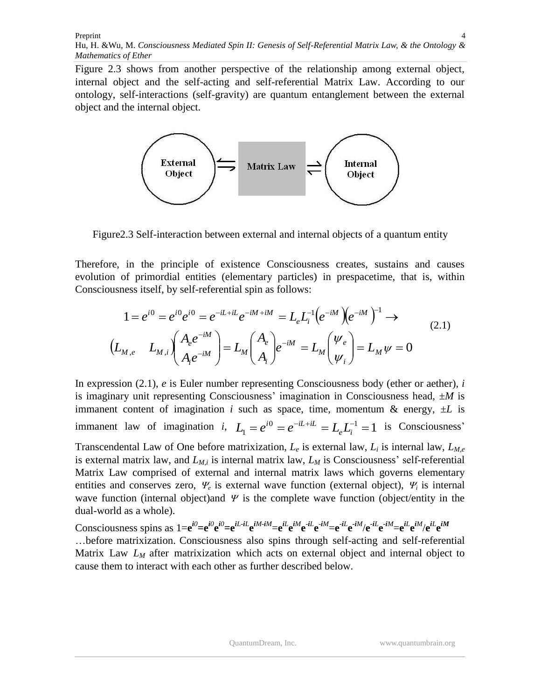Figure 2.3 shows from another perspective of the relationship among external object, internal object and the self-acting and self-referential Matrix Law. According to our ontology, self-interactions (self-gravity) are quantum entanglement between the external object and the internal object.



Figure2.3 Self-interaction between external and internal objects of a quantum entity

Therefore, in the principle of existence Consciousness creates, sustains and causes evolution of primordial entities (elementary particles) in prespacetime, that is, within Consciousness itself, by self-referential spin as follows:

$$
1 = e^{i0} = e^{i0} e^{i0} = e^{-iL + iL} e^{-iM + iM} = L_e L_i^{-1} (e^{-iM}) (e^{-iM})^{-1} \rightarrow
$$
  
\n
$$
(L_{M,e} L_{M,i}) (A_e e^{-iM}) = L_M (A_e) e^{-iM} = L_M (V_e) = L_M V = 0
$$
  
\n(2.1)

In expression (2.1), *e* is Euler number representing Consciousness body (ether or aether), *i* is imaginary unit representing Consciousness' imagination in Consciousness head,  $\pm M$  is immanent content of imagination *i* such as space, time, momentum  $\&$  energy,  $\pm L$  is immanent law of imagination *i*,  $L_1 = e^{i0} = e^{-iL + iL} = L_e L_i^{-1} = 1$  $L_1 = e^{i0} = e^{-iL + iL} = L_e L_i^{-1} = 1$  is Consciousness'

Transcendental Law of One before matrixization,  $L_e$  is external law,  $L_i$  is internal law,  $L_{M,e}$ is external matrix law, and *LM,i* is internal matrix law, *L<sup>M</sup>* is Consciousness' self-referential Matrix Law comprised of external and internal matrix laws which governs elementary entities and conserves zero,  $\Psi_e$  is external wave function (external object),  $\Psi_i$  is internal wave function (internal object)and  $\Psi$  is the complete wave function (object/entity in the dual-world as a whole).

Consciousness spins as  $1=e^{i\theta}$ = $e^{i\theta}$ = $e^{iL}$ - $iL e^{iM}$  $=$  $e^{iL}$  $e^{iM}$  $=$  $e^{iL}$  $e^{-iM}$  $=$  $e^{-iL}$  $e^{-iM}$  $=$  $e^{iL}$  $e^{iM}$  $\ge$  $e^{iM}$  $e^{iL}$  $e^{iM}$ …before matrixization. Consciousness also spins through self-acting and self-referential Matrix Law *L<sub>M</sub>* after matrixization which acts on external object and internal object to cause them to interact with each other as further described below.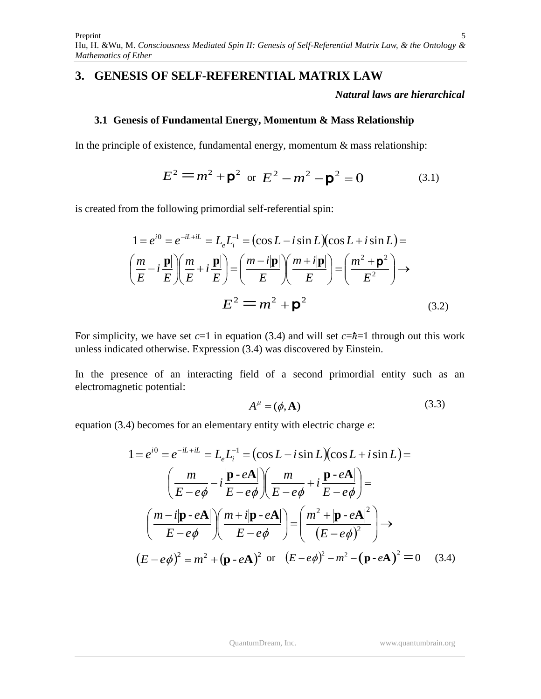# **3. GENESIS OF SELF-REFERENTIAL MATRIX LAW**

*Natural laws are hierarchical*

### **3.1 Genesis of Fundamental Energy, Momentum & Mass Relationship**

In the principle of existence, fundamental energy, momentum  $\&$  mass relationship:

$$
E^{2} = m^{2} + \mathbf{p}^{2} \text{ or } E^{2} - m^{2} - \mathbf{p}^{2} = 0
$$
 (3.1)

is created from the following primordial self-referential spin:

$$
1 = e^{i0} = e^{-iL+iL} = L_e L_i^{-1} = (\cos L - i \sin L)(\cos L + i \sin L) =
$$

$$
\left(\frac{m}{E} - i\frac{|\mathbf{p}|}{E}\right) \left(\frac{m}{E} + i\frac{|\mathbf{p}|}{E}\right) = \left(\frac{m - i|\mathbf{p}|}{E}\right) \left(\frac{m + i|\mathbf{p}|}{E}\right) = \left(\frac{m^2 + \mathbf{p}^2}{E^2}\right) \rightarrow
$$

$$
E^2 = m^2 + \mathbf{p}^2 \tag{3.2}
$$

For simplicity, we have set  $c=1$  in equation (3.4) and will set  $c=\hbar=1$  through out this work unless indicated otherwise. Expression (3.4) was discovered by Einstein.

In the presence of an interacting field of a second primordial entity such as an electromagnetic potential:

$$
A^{\mu} = (\phi, \mathbf{A}) \tag{3.3}
$$

equation (3.4) becomes for an elementary entity with electric charge *e*:

$$
1 = e^{i0} = e^{-iL+iL} = L_e L_i^{-1} = (\cos L - i \sin L)(\cos L + i \sin L) =
$$

$$
\left(\frac{m}{E - e\phi} - i\frac{|\mathbf{p} \cdot e\mathbf{A}|}{E - e\phi}\right) \left(\frac{m}{E - e\phi} + i\frac{|\mathbf{p} \cdot e\mathbf{A}|}{E - e\phi}\right) =
$$

$$
\left(\frac{m - i|\mathbf{p} \cdot e\mathbf{A}|}{E - e\phi}\right) \left(\frac{m + i|\mathbf{p} \cdot e\mathbf{A}|}{E - e\phi}\right) = \left(\frac{m^2 + |\mathbf{p} \cdot e\mathbf{A}|^2}{(E - e\phi)^2}\right) \rightarrow
$$

$$
(E - e\phi)^2 = m^2 + (\mathbf{p} \cdot e\mathbf{A})^2 \text{ or } (E - e\phi)^2 - m^2 - (\mathbf{p} \cdot e\mathbf{A})^2 = 0 \quad (3.4)
$$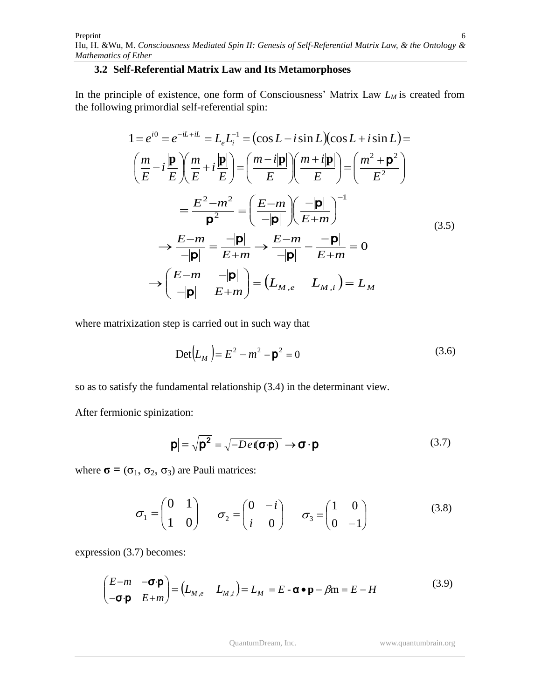#### **3.2 Self-Referential Matrix Law and Its Metamorphoses**

In the principle of existence, one form of Consciousness' Matrix Law *L<sup>M</sup>* is created from the following primordial self-referential spin:

$$
1 = e^{i0} = e^{-iL+iL} = L_e L_i^{-1} = (\cos L - i \sin L)(\cos L + i \sin L) =
$$
\n
$$
\left(\frac{m}{E} - i\frac{|\mathbf{p}|}{E}\right) \left(\frac{m}{E} + i\frac{|\mathbf{p}|}{E}\right) = \left(\frac{m - i|\mathbf{p}|}{E}\right) \left(\frac{m + i|\mathbf{p}|}{E}\right) = \left(\frac{m^2 + \mathbf{p}^2}{E^2}\right)
$$
\n
$$
= \frac{E^2 - m^2}{\mathbf{p}^2} = \left(\frac{E - m}{-|\mathbf{p}|}\right) \left(\frac{-|\mathbf{p}|}{E + m}\right)^{-1}
$$
\n
$$
\rightarrow \frac{E - m}{-|\mathbf{p}|} = \frac{-|\mathbf{p}|}{E + m} \rightarrow \frac{E - m}{-|\mathbf{p}|} - \frac{-|\mathbf{p}|}{E + m} = 0
$$
\n
$$
\rightarrow \left(\frac{E - m}{-|\mathbf{p}|} - \frac{|\mathbf{p}|}{E + m}\right) = \left(L_{M,e} - L_{M,i}\right) = L_M
$$
\n(3.5)

where matrixization step is carried out in such way that

$$
Det(L_M) = E^2 - m^2 - p^2 = 0
$$
 (3.6)

so as to satisfy the fundamental relationship (3.4) in the determinant view.

After fermionic spinization:

$$
|\mathbf{p}| = \sqrt{\mathbf{p}^2} = \sqrt{-De(\mathbf{\sigma}\cdot\mathbf{p})} \rightarrow \mathbf{\sigma}\cdot\mathbf{p}
$$
 (3.7)

where  $\sigma = (\sigma_1, \sigma_2, \sigma_3)$  are Pauli matrices:

$$
\sigma_1 = \begin{pmatrix} 0 & 1 \\ 1 & 0 \end{pmatrix} \qquad \sigma_2 = \begin{pmatrix} 0 & -i \\ i & 0 \end{pmatrix} \qquad \sigma_3 = \begin{pmatrix} 1 & 0 \\ 0 & -1 \end{pmatrix} \tag{3.8}
$$

expression (3.7) becomes:

$$
\begin{pmatrix} E-m & -\sigma \cdot \mathbf{p} \\ -\sigma \cdot \mathbf{p} & E+m \end{pmatrix} = \begin{pmatrix} L_{M,e} & L_{M,i} \end{pmatrix} = L_M = E - \mathbf{\alpha} \cdot \mathbf{p} - \beta m = E - H \tag{3.9}
$$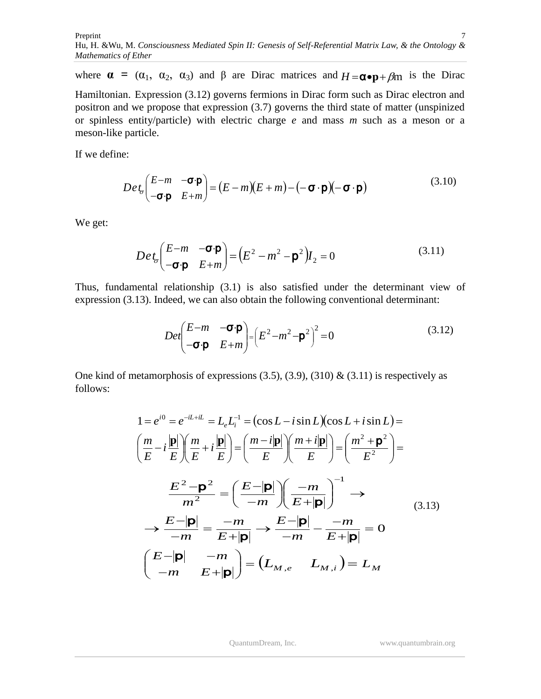where  $\alpha = (\alpha_1, \alpha_2, \alpha_3)$  and  $\beta$  are Dirac matrices and  $H = \alpha \cdot p + \beta m$  is the Dirac Hamiltonian. Expression (3.12) governs fermions in Dirac form such as Dirac electron and positron and we propose that expression (3.7) governs the third state of matter (unspinized or spinless entity/particle) with electric charge *e* and mass *m* such as a meson or a meson-like particle.

If we define:

$$
Det_{\sigma}\left(\begin{matrix} E-m & -\sigma \cdot \mathbf{p} \\ -\sigma \cdot \mathbf{p} & E+m \end{matrix}\right) = (E-m)(E+m) - (-\sigma \cdot \mathbf{p})(-\sigma \cdot \mathbf{p})
$$
(3.10)

We get:

$$
Det_{\sigma}\left(\begin{matrix} E-m & -\sigma \cdot \mathbf{p} \\ -\sigma \cdot \mathbf{p} & E+m \end{matrix}\right) = \left(E^2 - m^2 - \mathbf{p}^2\right)I_2 = 0 \tag{3.11}
$$

Thus, fundamental relationship (3.1) is also satisfied under the determinant view of expression (3.13). Indeed, we can also obtain the following conventional determinant:

$$
Det \begin{pmatrix} E-m & -\sigma \cdot \mathbf{p} \\ -\sigma \cdot \mathbf{p} & E+m \end{pmatrix} = \left( E^2 - m^2 - \mathbf{p}^2 \right)^2 = 0 \tag{3.12}
$$

One kind of metamorphosis of expressions  $(3.5)$ ,  $(3.9)$ ,  $(310)$  &  $(3.11)$  is respectively as follows:

$$
1 = e^{i0} = e^{-iL+il} = L_e L_i^{-1} = (\cos L - i \sin L)(\cos L + i \sin L) =
$$
\n
$$
\left(\frac{m}{E} - i\frac{|\mathbf{p}|}{E}\right) \left(\frac{m}{E} + i\frac{|\mathbf{p}|}{E}\right) = \left(\frac{m - i|\mathbf{p}|}{E}\right) \left(\frac{m + i|\mathbf{p}|}{E}\right) = \left(\frac{m^2 + \mathbf{p}^2}{E^2}\right) =
$$
\n
$$
\frac{E^2 - \mathbf{p}^2}{m^2} = \left(\frac{E - |\mathbf{p}|}{-m}\right) \left(\frac{-m}{E + |\mathbf{p}|}\right)^{-1} \longrightarrow
$$
\n
$$
\rightarrow \frac{E - |\mathbf{p}|}{-m} = \frac{-m}{E + |\mathbf{p}|} \rightarrow \frac{E - |\mathbf{p}|}{-m} - \frac{-m}{E + |\mathbf{p}|} = 0
$$
\n
$$
\left(\frac{E - |\mathbf{p}|}{-m} - \frac{-m}{E + |\mathbf{p}|}\right) = \left(L_{M,e} - L_{M,i}\right) = L_M
$$
\n(3.13)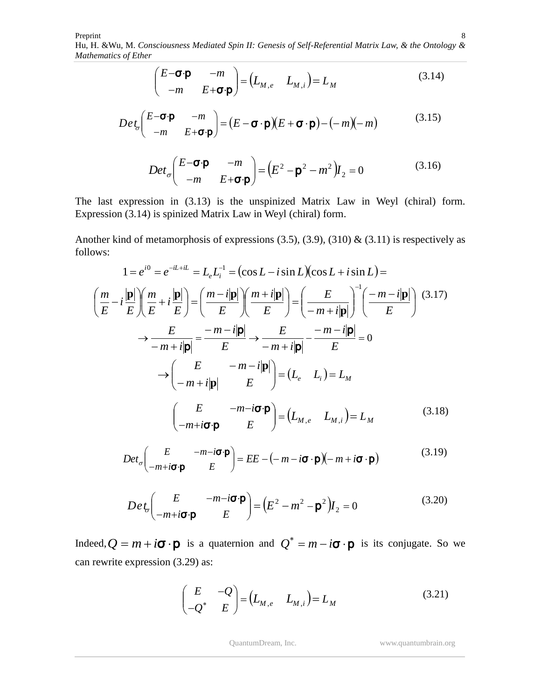$$
\begin{pmatrix} E-\mathbf{\sigma}\cdot\mathbf{p} & -m \\ -m & E+\mathbf{\sigma}\cdot\mathbf{p} \end{pmatrix} = \begin{pmatrix} L_{M,e} & L_{M,i} \end{pmatrix} = L_M \tag{3.14}
$$

$$
Det_{\sigma}\left(\begin{matrix} E-\sigma\cdot\mathbf{p} & -m \\ -m & E+\sigma\cdot\mathbf{p} \end{matrix}\right) = (E-\sigma\cdot\mathbf{p})(E+\sigma\cdot\mathbf{p}) - (-m)(-m) \tag{3.15}
$$

$$
Det_{\sigma}\left(\begin{matrix} E-\sigma\cdot\mathbf{p} & -m \\ -m & E+\sigma\cdot\mathbf{p} \end{matrix}\right) = \left(E^2 - \mathbf{p}^2 - m^2\right)I_2 = 0 \tag{3.16}
$$

The last expression in (3.13) is the unspinized Matrix Law in Weyl (chiral) form. Expression (3.14) is spinized Matrix Law in Weyl (chiral) form.

Another kind of metamorphosis of expressions (3.5), (3.9), (310) & (3.11) is respectively as follows:

$$
1 = e^{i0} = e^{-iL+iL} = L_e L_i^{-1} = (\cos L - i \sin L)(\cos L + i \sin L) =
$$
\n
$$
\left(\frac{m}{E} - i\frac{|\mathbf{p}|}{E}\right) \left(\frac{m}{E} + i\frac{|\mathbf{p}|}{E}\right) = \left(\frac{m - i|\mathbf{p}|}{E}\right) \left(\frac{m + i|\mathbf{p}|}{E}\right) = \left(\frac{E}{-m + i|\mathbf{p}|}\right)^{-1} \left(\frac{-m - i|\mathbf{p}|}{E}\right) \tag{3.17}
$$
\n
$$
\rightarrow \frac{E}{-m + i|\mathbf{p}|} = \frac{-m - i|\mathbf{p}|}{E} \rightarrow \frac{E}{-m + i|\mathbf{p}|} - \frac{-m - i|\mathbf{p}|}{E} = 0
$$
\n
$$
\rightarrow \left(\frac{E}{-m + i|\mathbf{p}|} - \frac{m - i|\mathbf{p}|}{E}\right) = (L_e - L_i) = L_M
$$
\n
$$
\left(\frac{E}{-m + i\sigma \cdot \mathbf{p}} - \frac{m - i\sigma \cdot \mathbf{p}}{E}\right) = (L_{M,e} - L_{M,i}) = L_M
$$
\n(3.18)

$$
Det_{\sigma}\begin{pmatrix} E & -m-i\boldsymbol{\sigma}\cdot\boldsymbol{p} \\ -m+i\boldsymbol{\sigma}\cdot\boldsymbol{p} & E \end{pmatrix} = EE - (-m-i\boldsymbol{\sigma}\cdot\boldsymbol{p})(-m+i\boldsymbol{\sigma}\cdot\boldsymbol{p})
$$
(3.19)

$$
Det_{\sigma}\left(\frac{E}{-m+i\sigma\cdot\mathbf{p}} - \frac{m-i\sigma\cdot\mathbf{p}}{E}\right) = \left(E^2 - m^2 - \mathbf{p}^2\right)I_2 = 0
$$
\n(3.20)

Indeed,  $Q = m + i\sigma \cdot \mathbf{p}$  is a quaternion and  $Q^* = m - i\sigma \cdot \mathbf{p}$  is its conjugate. So we can rewrite expression (3.29) as:

$$
\begin{pmatrix} E & -Q \ -Q^* & E \end{pmatrix} = \begin{pmatrix} L_{M,e} & L_{M,i} \end{pmatrix} = L_M \tag{3.21}
$$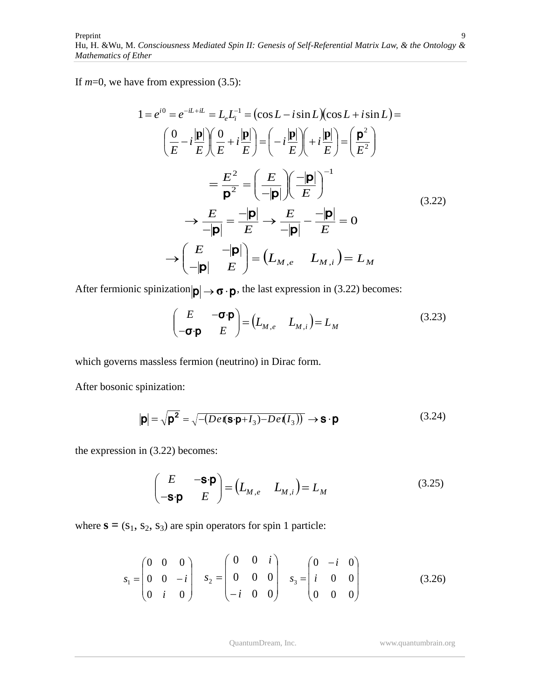If  $m=0$ , we have from expression (3.5):

$$
1 = e^{i0} = e^{-iL + iL} = L_e L_i^{-1} = (\cos L - i \sin L)(\cos L + i \sin L) =
$$
  
\n
$$
\left(\frac{0}{E} - i\frac{|\mathbf{p}|}{E}\right) \left(\frac{0}{E} + i\frac{|\mathbf{p}|}{E}\right) = \left(-i\frac{|\mathbf{p}|}{E}\right) \left(+i\frac{|\mathbf{p}|}{E}\right) = \left(\frac{\mathbf{p}^2}{E^2}\right)
$$
  
\n
$$
= \frac{E^2}{\mathbf{p}^2} = \left(\frac{E}{-|\mathbf{p}|}\right) \left(\frac{-|\mathbf{p}|}{E}\right)^{-1}
$$
  
\n
$$
\rightarrow \frac{E}{-|\mathbf{p}|} = \frac{-|\mathbf{p}|}{E} \rightarrow \frac{E}{-|\mathbf{p}|} - \frac{-|\mathbf{p}|}{E} = 0
$$
  
\n
$$
\rightarrow \left(\frac{E}{-|\mathbf{p}|} - \frac{|\mathbf{p}|}{E}\right) = (L_{M,e} - L_{M,i}) = L_M
$$
  
\n(3.22)

After fermionic spinization  $|\mathbf{p}| \to \mathbf{\sigma} \cdot \mathbf{p}$ , the last expression in (3.22) becomes:

$$
\begin{pmatrix} E & -\boldsymbol{\sigma} \cdot \boldsymbol{\rho} \\ -\boldsymbol{\sigma} \cdot \boldsymbol{\rho} & E \end{pmatrix} = \begin{pmatrix} L_{M,e} & L_{M,i} \end{pmatrix} = L_M \tag{3.23}
$$

which governs massless fermion (neutrino) in Dirac form.

After bosonic spinization:

$$
|\mathbf{p}| = \sqrt{\mathbf{p}^2} = \sqrt{-\left(De\mathbf{I}(\mathbf{s}\cdot\mathbf{p} + I_3) - De\mathbf{I}(I_3)\right)} \rightarrow \mathbf{s} \cdot \mathbf{p}
$$
\n(3.24)

the expression in (3.22) becomes:

$$
\begin{pmatrix} E & -\mathbf{S} \cdot \mathbf{p} \\ -\mathbf{S} \cdot \mathbf{p} & E \end{pmatrix} = \begin{pmatrix} L_{M,e} & L_{M,i} \end{pmatrix} = L_M \tag{3.25}
$$

where  $\mathbf{s} = (s_1, s_2, s_3)$  are spin operators for spin 1 particle:

$$
s_1 = \begin{pmatrix} 0 & 0 & 0 \\ 0 & 0 & -i \\ 0 & i & 0 \end{pmatrix} \quad s_2 = \begin{pmatrix} 0 & 0 & i \\ 0 & 0 & 0 \\ -i & 0 & 0 \end{pmatrix} \quad s_3 = \begin{pmatrix} 0 & -i & 0 \\ i & 0 & 0 \\ 0 & 0 & 0 \end{pmatrix}
$$
(3.26)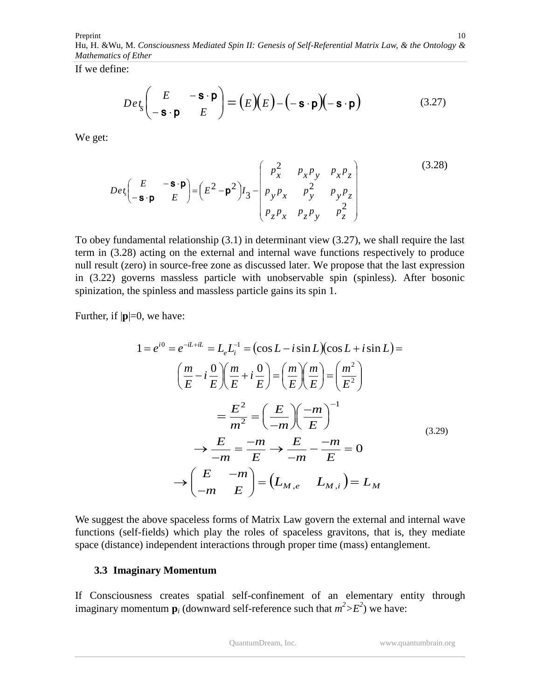Preprint Hu, H. &Wu*,* M. *Consciousness Mediated Spin II: Genesis of Self-Referential Matrix Law, & the Ontology & Mathematics of Ether* 10

If we define:

$$
De \, t_s \left( \begin{array}{cc} E & -\mathbf{S} \cdot \mathbf{p} \\ -\mathbf{S} \cdot \mathbf{p} & E \end{array} \right) = \left( E \right) \left( E \right) - \left( -\mathbf{S} \cdot \mathbf{p} \right) \left( -\mathbf{S} \cdot \mathbf{p} \right) \tag{3.27}
$$

We get:

$$
Det_s\begin{pmatrix} E & -\mathbf{s} \cdot \mathbf{p} \\ -\mathbf{s} \cdot \mathbf{p} & E \end{pmatrix} = \begin{pmatrix} E^2 - \mathbf{p}^2 \end{pmatrix} I_3 - \begin{pmatrix} p_x^2 & p_x p_y & p_x p_z \\ p_y p_x & p_y^2 & p_y p_z \\ p_z p_x & p_z p_y & p_z^2 \end{pmatrix}
$$
(3.28)

To obey fundamental relationship (3.1) in determinant view (3.27), we shall require the last term in (3.28) acting on the external and internal wave functions respectively to produce null result (zero) in source-free zone as discussed later. We propose that the last expression in (3.22) governs massless particle with unobservable spin (spinless). After bosonic spinization, the spinless and massless particle gains its spin 1.

Further, if  $|\mathbf{p}|=0$ , we have:

$$
1 = e^{i0} = e^{-iL+iL} = L_e L_i^{-1} = (\cos L - i \sin L)(\cos L + i \sin L) =
$$
  
\n
$$
\left(\frac{m}{E} - i\frac{0}{E}\right)\left(\frac{m}{E} + i\frac{0}{E}\right) = \left(\frac{m}{E}\right)\left(\frac{m}{E}\right) = \left(\frac{m^2}{E^2}\right)
$$
  
\n
$$
= \frac{E^2}{m^2} = \left(\frac{E}{-m}\right)\left(\frac{-m}{E}\right)^{-1}
$$
  
\n
$$
\rightarrow \frac{E}{-m} = \frac{-m}{E} \rightarrow \frac{E}{-m} - \frac{-m}{E} = 0
$$
  
\n
$$
\rightarrow \left(\frac{E}{-m}\right) = \left(L_{M,e} - L_{M,i}\right) = L_M
$$
  
\n(3.29)

We suggest the above spaceless forms of Matrix Law govern the external and internal wave functions (self-fields) which play the roles of spaceless gravitons, that is, they mediate space (distance) independent interactions through proper time (mass) entanglement.

#### **3.3 Imaginary Momentum**

If Consciousness creates spatial self-confinement of an elementary entity through imaginary momentum  $\mathbf{p}_i$  (downward self-reference such that  $m^2 > E^2$ ) we have: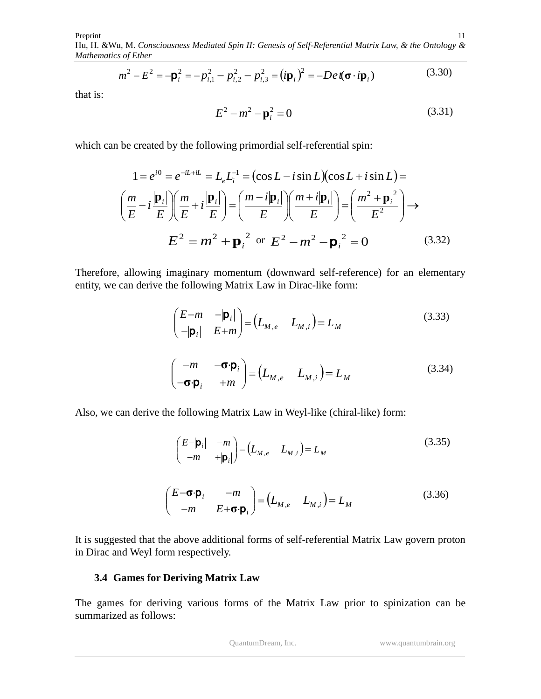Preprint

Hu, H. &Wu*,* M. *Consciousness Mediated Spin II: Genesis of Self-Referential Matrix Law, & the Ontology & Mathematics of Ether*

$$
m^{2} - E^{2} = -\mathbf{p}_{i}^{2} = -p_{i,1}^{2} - p_{i,2}^{2} - p_{i,3}^{2} = (i\mathbf{p}_{i})^{2} = -De\mathbf{r}(\mathbf{\sigma} \cdot i\mathbf{p}_{i})
$$
(3.30)

that is:

$$
E^2 - m^2 - \mathbf{p}_i^2 = 0
$$
 (3.31)

11

which can be created by the following primordial self-referential spin:

$$
1 = e^{i0} = e^{-iL+iL} = L_e L_i^{-1} = (\cos L - i \sin L)(\cos L + i \sin L) =
$$

$$
\left(\frac{m}{E} - i\frac{|\mathbf{p}_i|}{E}\right) \left(\frac{m}{E} + i\frac{|\mathbf{p}_i|}{E}\right) = \left(\frac{m - i|\mathbf{p}_i|}{E}\right) \left(\frac{m + i|\mathbf{p}_i|}{E}\right) = \left(\frac{m^2 + \mathbf{p}_i^2}{E^2}\right) \rightarrow
$$

$$
E^2 = m^2 + \mathbf{p}_i^2 \text{ or } E^2 - m^2 - \mathbf{p}_i^2 = 0 \qquad (3.32)
$$

Therefore, allowing imaginary momentum (downward self-reference) for an elementary entity, we can derive the following Matrix Law in Dirac-like form:

$$
\begin{pmatrix}\nE-m & -|\mathbf{p}_i| \\
-|\mathbf{p}_i| & E+m\n\end{pmatrix} = \begin{pmatrix}\nL_{M,e} & L_{M,i}\n\end{pmatrix} = L_M
$$
\n(3.33)\n
$$
\begin{pmatrix}\n-m & -\sigma \cdot \mathbf{p}_i \\
-\sigma \cdot \mathbf{p}_i & +m\n\end{pmatrix} = \begin{pmatrix}\nL_{M,e} & L_{M,i}\n\end{pmatrix} = L_M
$$
\n(3.34)

Also, we can derive the following Matrix Law in Weyl-like (chiral-like) form:

$$
\begin{pmatrix} E-|\mathbf{p}_i| & -m \\ -m & +|\mathbf{p}_i| \end{pmatrix} = \begin{pmatrix} L_{M,e} & L_{M,i} \end{pmatrix} = L_M \tag{3.35}
$$

$$
\begin{pmatrix} E-\mathbf{\sigma}\cdot\mathbf{p}_i & -m \\ -m & E+\mathbf{\sigma}\cdot\mathbf{p}_i \end{pmatrix} = \begin{pmatrix} L_{M,e} & L_{M,i} \end{pmatrix} = L_M \tag{3.36}
$$

It is suggested that the above additional forms of self-referential Matrix Law govern proton in Dirac and Weyl form respectively.

#### **3.4 Games for Deriving Matrix Law**

The games for deriving various forms of the Matrix Law prior to spinization can be summarized as follows: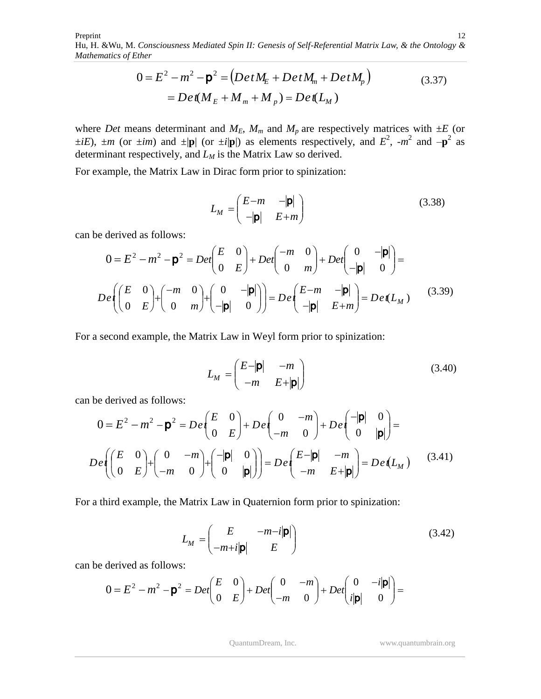$$
0 = E2 - m2 - p2 = (Det ME + Det Mm + Det Mp)
$$
  
= Det(M<sub>E</sub> + M<sub>m</sub> + M<sub>p</sub>) = Det(L<sub>M</sub>) (3.37)

where *Det* means determinant and  $M_E$ ,  $M_m$  and  $M_p$  are respectively matrices with  $\pm E$  (or  $\pm iE$ ),  $\pm m$  (or  $\pm im$ ) and  $\pm |\mathbf{p}|$  (or  $\pm i|\mathbf{p}|$ ) as elements respectively, and  $E^2$ ,  $\pm m^2$  and  $-\mathbf{p}^2$  as determinant respectively, and *L<sup>M</sup>* is the Matrix Law so derived.

For example, the Matrix Law in Dirac form prior to spinization:

$$
L_M = \begin{pmatrix} E - m & -|\mathbf{p}| \\ -|\mathbf{p}| & E + m \end{pmatrix}
$$
 (3.38)

can be derived as follows:

$$
0 = E2 - m2 - \mathbf{p}2 = Det \begin{pmatrix} E & 0 \\ 0 & E \end{pmatrix} + Det \begin{pmatrix} -m & 0 \\ 0 & m \end{pmatrix} + Det \begin{pmatrix} 0 & -|\mathbf{p}| \\ -|\mathbf{p}| & 0 \end{pmatrix} =
$$

$$
De \left( \begin{pmatrix} E & 0 \\ 0 & E \end{pmatrix} + \begin{pmatrix} -m & 0 \\ 0 & m \end{pmatrix} + \begin{pmatrix} 0 & -|\mathbf{p}| \\ -|\mathbf{p}| & 0 \end{pmatrix} \right) = De \begin{pmatrix} E-m & -|\mathbf{p}| \\ -|\mathbf{p}| & E+m \end{pmatrix} = De(L_M)
$$
(3.39)

For a second example, the Matrix Law in Weyl form prior to spinization:

$$
L_M = \begin{pmatrix} E - |\mathbf{p}| & -m \\ -m & E + |\mathbf{p}| \end{pmatrix}
$$
 (3.40)

can be derived as follows:

$$
0 = E2 - m2 - \mathbf{p}2 = De\begin{pmatrix} E & 0 \ 0 & E \end{pmatrix} + De\begin{pmatrix} 0 & -m \ -m & 0 \end{pmatrix} + De\begin{pmatrix} -|\mathbf{p}| & 0 \ 0 & |\mathbf{p}| \end{pmatrix} =
$$
  
De\begin{pmatrix} E & 0 \ 0 & E \end{pmatrix} + \begin{pmatrix} 0 & -m \ -m & 0 \end{pmatrix} + \begin{pmatrix} -|\mathbf{p}| & 0 \ 0 & |\mathbf{p}| \end{pmatrix} = De\begin{pmatrix} E-|\mathbf{p}| & -m \ -m & E+|\mathbf{p}| \end{pmatrix} = De(L<sub>M</sub>) (3.41)

For a third example, the Matrix Law in Quaternion form prior to spinization:

$$
L_M = \begin{pmatrix} E & -m-i|\mathbf{p}| \\ -m+i|\mathbf{p}| & E \end{pmatrix}
$$
 (3.42)

can be derived as follows:

$$
0 = E2 - m2 - \mathbf{p}2 = Det \begin{pmatrix} E & 0 \\ 0 & E \end{pmatrix} + Det \begin{pmatrix} 0 & -m \\ -m & 0 \end{pmatrix} + Det \begin{pmatrix} 0 & -i|\mathbf{p}| \\ i|\mathbf{p}| & 0 \end{pmatrix} =
$$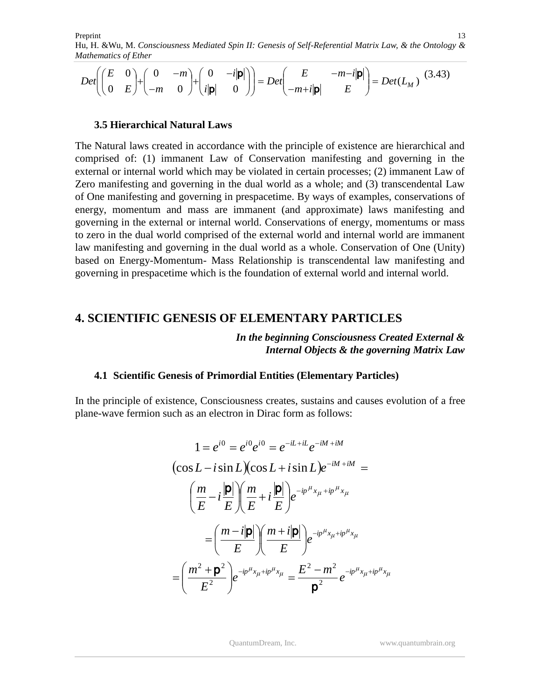Preprint Hu, H. &Wu*,* M. *Consciousness Mediated Spin II: Genesis of Self-Referential Matrix Law, & the Ontology & Mathematics of Ether* 13

$$
Det \left( \begin{pmatrix} E & 0 \\ 0 & E \end{pmatrix} + \begin{pmatrix} 0 & -m \\ -m & 0 \end{pmatrix} + \begin{pmatrix} 0 & -i|\mathbf{p}| \\ i|\mathbf{p}| & 0 \end{pmatrix} \right) = Det \begin{pmatrix} E & -m-i|\mathbf{p}| \\ -m+i|\mathbf{p}| & E \end{pmatrix} = Det(L_M)
$$
(3.43)

#### **3.5 Hierarchical Natural Laws**

The Natural laws created in accordance with the principle of existence are hierarchical and comprised of: (1) immanent Law of Conservation manifesting and governing in the external or internal world which may be violated in certain processes; (2) immanent Law of Zero manifesting and governing in the dual world as a whole; and (3) transcendental Law of One manifesting and governing in prespacetime. By ways of examples, conservations of energy, momentum and mass are immanent (and approximate) laws manifesting and governing in the external or internal world. Conservations of energy, momentums or mass to zero in the dual world comprised of the external world and internal world are immanent law manifesting and governing in the dual world as a whole. Conservation of One (Unity) based on Energy-Momentum- Mass Relationship is transcendental law manifesting and governing in prespacetime which is the foundation of external world and internal world.

# **4. SCIENTIFIC GENESIS OF ELEMENTARY PARTICLES**

*In the beginning Consciousness Created External & Internal Objects & the governing Matrix Law*

#### **4.1 Scientific Genesis of Primordial Entities (Elementary Particles)**

In the principle of existence, Consciousness creates, sustains and causes evolution of a free plane-wave fermion such as an electron in Dirac form as follows:

$$
1 = e^{i0} = e^{i0}e^{i0} = e^{-iL+iL}e^{-iM+iM}
$$
  
\n
$$
(\cos L - i\sin L)(\cos L + i\sin L)e^{-iM+iM} =
$$
  
\n
$$
\left(\frac{m}{E} - i\frac{|\mathbf{p}|}{E}\right)\left(\frac{m}{E} + i\frac{|\mathbf{p}|}{E}\right)e^{-ip^{\mu}x_{\mu}+ip^{\mu}x_{\mu}}
$$
  
\n
$$
= \left(\frac{m-i|\mathbf{p}|}{E}\right)\left(\frac{m+i|\mathbf{p}|}{E}\right)e^{-ip^{\mu}x_{\mu}+ip^{\mu}x_{\mu}}
$$
  
\n
$$
= \left(\frac{m^2 + \mathbf{p}^2}{E^2}\right)e^{-ip^{\mu}x_{\mu}+ip^{\mu}x_{\mu}} = \frac{E^2 - m^2}{\mathbf{p}^2}e^{-ip^{\mu}x_{\mu}+ip^{\mu}x_{\mu}}
$$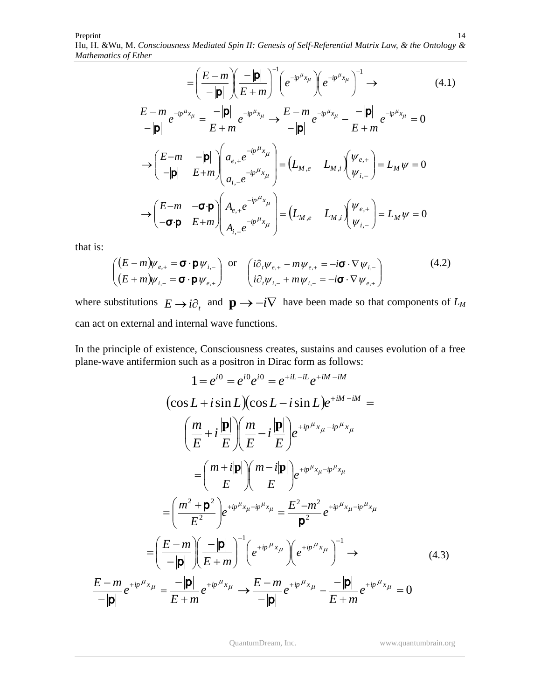$$
= \left(\frac{E-m}{-|\mathbf{p}|}\right)\left(\frac{-|\mathbf{p}|}{E+m}\right)^{-1}\left(e^{-ip^{\mu}x_{\mu}}\right)\left(e^{-ip^{\mu}x_{\mu}}\right)^{-1} \rightarrow (4.1)
$$
\n
$$
\frac{E-m}{-|\mathbf{p}|}e^{-ip^{\mu}x_{\mu}} = \frac{-|\mathbf{p}|}{E+m}e^{-ip^{\mu}x_{\mu}} \rightarrow \frac{E-m}{-|\mathbf{p}|}e^{-ip^{\mu}x_{\mu}} - \frac{-|\mathbf{p}|}{E+m}e^{-ip^{\mu}x_{\mu}} = 0
$$
\n
$$
\rightarrow \left(\begin{array}{cc} E-m & -|\mathbf{p}| \\ -|\mathbf{p}| & E+m \end{array}\right)\left(\begin{array}{cc} a_{e,+}e^{-ip^{\mu}x_{\mu}} \\ a_{i,-}e^{-ip^{\mu}x_{\mu}} \end{array}\right) = \left(L_{M,e} \quad L_{M,i}\right)\left(\begin{array}{c} \psi_{e,+} \\ \psi_{i,-} \end{array}\right) = L_{M}\psi = 0
$$
\n
$$
\rightarrow \left(\begin{array}{cc} E-m & -\sigma \cdot \mathbf{p} \\ -\sigma \cdot \mathbf{p} & E+m \end{array}\right)\left(\begin{array}{cc} A_{e,+}e^{-ip^{\mu}x_{\mu}} \\ A_{i,-}e^{-ip^{\mu}x_{\mu}} \end{array}\right) = \left(L_{M,e} \quad L_{M,i}\right)\left(\begin{array}{c} \psi_{e,+} \\ \psi_{i,-} \end{array}\right) = L_{M}\psi = 0
$$

that is:

$$
\begin{pmatrix}\n(E-m)\psi_{e,+} = \mathbf{\sigma} \cdot \mathbf{p} \psi_{i,-} \\
(E+m)\psi_{i,-} = \mathbf{\sigma} \cdot \mathbf{p} \psi_{e,+}\n\end{pmatrix} \text{ or } \begin{pmatrix}\n\mathrm{i}\partial_t \psi_{e,+} - m\psi_{e,+} = -\mathrm{i}\mathbf{\sigma} \cdot \nabla \psi_{i,-} \\
\mathrm{i}\partial_t \psi_{i,-} + m\psi_{i,-} = -\mathrm{i}\mathbf{\sigma} \cdot \nabla \psi_{e,+}\n\end{pmatrix}
$$
\n(4.2)

where substitutions  $E \rightarrow i\partial_t$  and  $\mathbf{p} \rightarrow -i\nabla$  have been made so that components of  $L_M$ can act on external and internal wave functions.

In the principle of existence, Consciousness creates, sustains and causes evolution of a free plane-wave antifermion such as a positron in Dirac form as follows:

$$
1 = e^{i0} = e^{i0} e^{i0} = e^{+iL - iL} e^{+iM - iM}
$$
  
\n
$$
(\cos L + i \sin L)(\cos L - i \sin L) e^{+iM - iM} =
$$
  
\n
$$
\left(\frac{m}{E} + i \frac{|\mathbf{p}|}{E}\right) \left(\frac{m}{E} - i \frac{|\mathbf{p}|}{E}\right) e^{+ip^{\mu}x_{\mu} - ip^{\mu}x_{\mu}}
$$
  
\n
$$
= \left(\frac{m + i|\mathbf{p}|}{E}\right) \left(\frac{m - i|\mathbf{p}|}{E}\right) e^{+ip^{\mu}x_{\mu} - ip^{\mu}x_{\mu}}
$$
  
\n
$$
= \left(\frac{m^2 + \mathbf{p}^2}{E^2}\right) e^{+ip^{\mu}x_{\mu} - ip^{\mu}x_{\mu}} = \frac{E^2 - m^2}{\mathbf{p}^2} e^{+ip^{\mu}x_{\mu} - ip^{\mu}x_{\mu}}
$$
  
\n
$$
= \left(\frac{E - m}{-|\mathbf{p}|}\right) \left(\frac{-|\mathbf{p}|}{E + m}\right)^{-1} \left(e^{+ip^{\mu}x_{\mu}}\right) \left(e^{+ip^{\mu}x_{\mu}}\right)^{-1} \rightarrow
$$
  
\n
$$
\frac{E - m}{-|\mathbf{p}|} e^{+ip^{\mu}x_{\mu}} = \frac{-|\mathbf{p}|}{E + m} e^{+ip^{\mu}x_{\mu}} \rightarrow \frac{E - m}{-|\mathbf{p}|} e^{+ip^{\mu}x_{\mu}} - \frac{-|\mathbf{p}|}{E + m} e^{+ip^{\mu}x_{\mu}} = 0
$$
  
\n(4.3)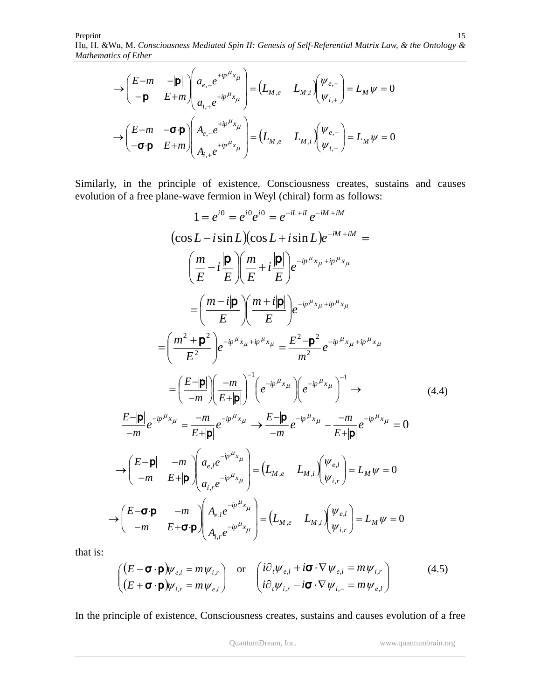$$
\rightarrow \begin{pmatrix} E-m & -|\mathbf{p}| \\ -|\mathbf{p}| & E+m \end{pmatrix} \begin{pmatrix} a_{e,-}e^{+ip\mu_{x_{\mu}}}\ a_{e,-}e^{+ip\mu_{x_{\mu}}}\end{pmatrix} = \begin{pmatrix} L_{M,e} & L_{M,i} \end{pmatrix} \begin{pmatrix} \psi_{e,-}\ \psi_{i,+}\end{pmatrix} = L_{M}\psi = 0
$$
  

$$
\rightarrow \begin{pmatrix} E-m & -\sigma \cdot \mathbf{p} \\ -\sigma \cdot \mathbf{p} & E+m \end{pmatrix} \begin{pmatrix} A_{e,-}e^{+ip\mu_{x_{\mu}}}\ A_{i,+}e^{+ip\mu_{x_{\mu}}}\end{pmatrix} = \begin{pmatrix} L_{M,e} & L_{M,i} \end{pmatrix} \begin{pmatrix} \psi_{e,-}\ \psi_{i,+}\end{pmatrix} = L_{M}\psi = 0
$$

Similarly, in the principle of existence, Consciousness creates, sustains and causes evolution of a free plane-wave fermion in Weyl (chiral) form as follows:

$$
1 = e^{i0} = e^{i0}e^{i0} = e^{-iL+ik}e^{-iM+ikM}
$$
  
\n
$$
(\cos L - i \sin L)(\cos L + i \sin L)e^{-iM+ikM} =
$$
  
\n
$$
\left(\frac{m}{E} - i\frac{|\mathbf{p}|}{E}\right)\left(\frac{m}{E} + i\frac{|\mathbf{p}|}{E}\right)e^{-ip^{ik}x_{\mu}+ip^{ik}x_{\mu}}
$$
  
\n
$$
= \left(\frac{m-i|\mathbf{p}|}{E}\right)\left(\frac{m+i|\mathbf{p}|}{E}\right)e^{-ip^{ik}x_{\mu}+ip^{ik}x_{\mu}}
$$
  
\n
$$
= \left(\frac{m^2 + \mathbf{p}^2}{E^2}\right)e^{-ip^{ik}x_{\mu}+ip^{ik}x_{\mu}} = \frac{E^2 - \mathbf{p}^2}{m^2}e^{-ip^{ik}x_{\mu}+ip^{ik}x_{\mu}}
$$
  
\n
$$
= \left(\frac{E-|\mathbf{p}|}{-m}\right)\left(\frac{-m}{E+|\mathbf{p}|}\right)^{-1}\left(e^{-ip^{ik}x_{\mu}}\right)\left(e^{-ip^{ik}x_{\mu}}\right)^{-1} \rightarrow
$$
  
\n
$$
\frac{E-|\mathbf{p}|}{-m}e^{-ip^{ik}x_{\mu}} = \frac{-m}{E+|\mathbf{p}|}e^{-ip^{ik}x_{\mu}} \rightarrow \frac{E-|\mathbf{p}|}{-m}e^{-ip^{ik}x_{\mu}} - \frac{-m}{E+|\mathbf{p}|}e^{-ip^{ik}x_{\mu}} = 0
$$
  
\n
$$
\rightarrow \left(\frac{E-|\mathbf{p}|}{-m} - \frac{m}{E+|\mathbf{p}|}\right)\left(\begin{matrix}a_{e,i}e^{-ip^{ik}x_{\mu}}\\a_{i,r}e^{-ip^{ik}x_{\mu}}\end{matrix}\right) = \left(L_{M,e} - L_{M,i}\right)\left(\begin{matrix}\psi_{e,i} \\ \psi_{i,r}\end{matrix}\right) = L_{M}\psi = 0
$$
  
\n
$$
\rightarrow \left(\begin{matrix}\nE-\mathbf{p} & -m \\
-m & E+\mathbf{p}\n\end{matrix}\right)\left(\begin{matrix}\nA_{e,i}e^{-ip^{ik}x_{\mu}} \\
A_{i,r}e^{-ip^{ik}x_{\mu}}\end{matrix}\right
$$

that is:

$$
\begin{pmatrix}\n(E - \mathbf{\sigma} \cdot \mathbf{p})\psi_{e,l} = m\psi_{i,r} \\
(E + \mathbf{\sigma} \cdot \mathbf{p})\psi_{i,r} = m\psi_{e,l}\n\end{pmatrix} \text{ or } \begin{pmatrix}\ni\partial_t\psi_{e,l} + i\mathbf{\sigma} \cdot \nabla \psi_{e,l} = m\psi_{i,r} \\
i\partial_t\psi_{i,r} - i\mathbf{\sigma} \cdot \nabla \psi_{i,-} = m\psi_{e,l}\n\end{pmatrix}
$$
\n(4.5)

In the principle of existence, Consciousness creates, sustains and causes evolution of a free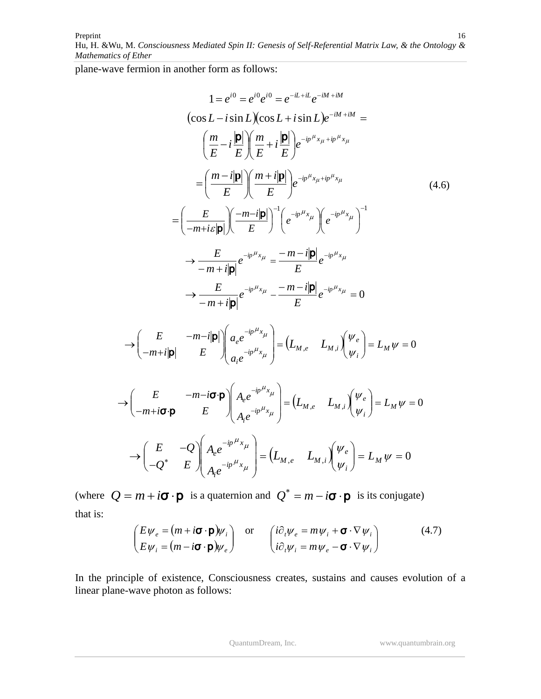Preprint Hu, H. &Wu*,* M. *Consciousness Mediated Spin II: Genesis of Self-Referential Matrix Law, & the Ontology & Mathematics of Ether* 16

plane-wave fermion in another form as follows:

 $\overline{\phantom{a}}$ \.  $\sqrt{2}$ 

$$
1 = e^{i0} = e^{i0} e^{i0} = e^{-iL+il} e^{-iM+ikH}
$$
  
\n
$$
(\cos L - i \sin L)(\cos L + i \sin L) e^{-iM+ikH} =
$$
  
\n
$$
\left(\frac{m}{E} - i \frac{|\mathbf{p}|}{E}\right) \left(\frac{m}{E} + i \frac{|\mathbf{p}|}{E}\right) e^{-ip^{H}x_{\mu}+ip^{H}x_{\mu}}
$$
  
\n
$$
= \left(\frac{m - i|\mathbf{p}|}{E}\right) \left(\frac{m + i|\mathbf{p}|}{E}\right) e^{-ip^{H}x_{\mu}+ip^{H}x_{\mu}}
$$
  
\n
$$
= \left(\frac{E}{-m + i\varepsilon|\mathbf{p}|}\right) \left(\frac{-m - i|\mathbf{p}|}{E}\right)^{-1} \left(e^{-ip^{H}x_{\mu}}\right) \left(e^{-ip^{H}x_{\mu}}\right)^{-1}
$$
  
\n
$$
\rightarrow \frac{E}{-m + i|\mathbf{p}|} e^{-ip^{H}x_{\mu}} = \frac{-m - i|\mathbf{p}|}{E} e^{-ip^{H}x_{\mu}}
$$
  
\n
$$
\rightarrow \frac{E}{-m + i|\mathbf{p}|} e^{-ip^{H}x_{\mu}} - \frac{-m - i|\mathbf{p}|}{E} e^{-ip^{H}x_{\mu}} = 0
$$
  
\n
$$
\rightarrow \left(\frac{E}{-m + i|\mathbf{p}|} - \frac{m - i|\mathbf{p}|}{E}\right) \left(\frac{a_{e}e^{-ip^{H}x_{\mu}}}{a_{i}e^{-ip^{H}x_{\mu}}}\right) = \left(L_{M,e} - L_{M,i}\right) \left(\frac{\psi_{e}}{\psi_{i}}\right) = L_{M}\psi = 0
$$
  
\n
$$
\rightarrow \left(\frac{E}{-m + i\sigma \mathbf{p}} - \frac{m - i\sigma \mathbf{p}}{E}\right) \left(\frac{A_{e}e^{-ip^{H}x_{\mu}}}{A_{i}e^{-ip^{H}x_{\mu}}}\right) = \left(L_{M,e} - L_{M,i}\right) \left(\frac{\psi_{e}}{\psi_{i}}\right) = L_{M}\psi = 0
$$
  
\n
$$
\rightarrow \left(\frac{E}{-Q^{*}} - \frac{Q}{E}\right) \left(\frac{A_{e}
$$

(where  $Q = m + i\sigma \cdot \mathbf{p}$  is a quaternion and  $Q^* = m - i\sigma \cdot \mathbf{p}$  is its conjugate) that is:

$$
\begin{pmatrix} E\psi_e = (m + i\boldsymbol{\sigma} \cdot \boldsymbol{p})\psi_i \\ E\psi_i = (m - i\boldsymbol{\sigma} \cdot \boldsymbol{p})\psi_e \end{pmatrix} \text{ or } \begin{pmatrix} i\partial_t\psi_e = m\psi_i + \boldsymbol{\sigma} \cdot \nabla \psi_i \\ i\partial_t\psi_i = m\psi_e - \boldsymbol{\sigma} \cdot \nabla \psi_i \end{pmatrix}
$$
(4.7)

In the principle of existence, Consciousness creates, sustains and causes evolution of a linear plane-wave photon as follows: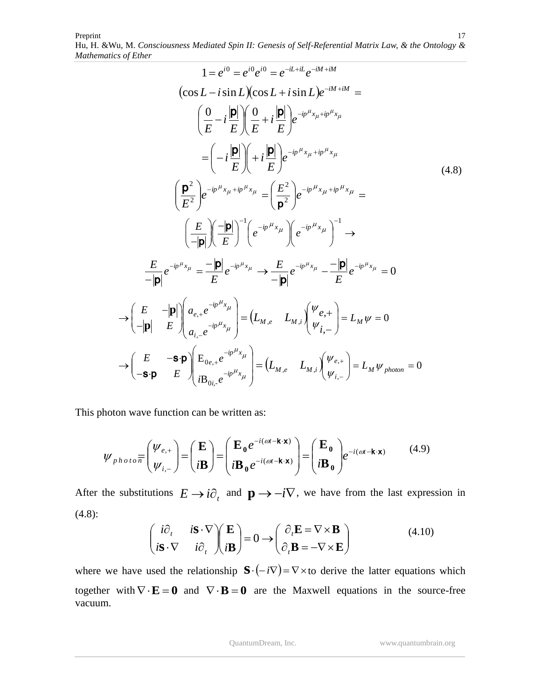Preprint Hu, H. &Wu*,* M. *Consciousness Mediated Spin II: Genesis of Self-Referential Matrix Law, & the Ontology & Mathematics of Ether* 17

$$
1 = e^{i0} = e^{i0} e^{i0} = e^{-iL+il} e^{-iM+ilM}
$$
  
\n
$$
(\cos L - i \sin L)(\cos L + i \sin L)e^{-iM+ilM} =
$$
  
\n
$$
\left(\frac{0}{E} - i\frac{|\mathbf{p}|}{E}\right) \left(\frac{0}{E} + i\frac{|\mathbf{p}|}{E}\right) e^{-ip\mu_{x_{\mu}+ip}\mu_{x_{\mu}}}
$$
  
\n
$$
= \left(-i\frac{|\mathbf{p}|}{E}\right) \left(+i\frac{|\mathbf{p}|}{E}\right) e^{-ip\mu_{x_{\mu}+ip}\mu_{x_{\mu}}}
$$
  
\n
$$
\left(\frac{\mathbf{p}^2}{E^2}\right) e^{-ip\mu_{x_{\mu}+ip}\mu_{x_{\mu}}} = \left(\frac{E^2}{\mathbf{p}^2}\right) e^{-ip\mu_{x_{\mu}+ip}\mu_{x_{\mu}}} =
$$
  
\n
$$
\left(\frac{E}{-|\mathbf{p}|}\right) \left(-\frac{|\mathbf{p}|}{E}\right)^{-1} \left(e^{-ip\mu_{x_{\mu}}}\right) \left(e^{-ip\mu_{x_{\mu}}}\right)^{-1} \rightarrow
$$
  
\n
$$
\frac{E}{-|\mathbf{p}|} e^{-ip\mu_{x_{\mu}}} = \frac{-|\mathbf{p}|}{E} e^{-ip\mu_{x_{\mu}}} \rightarrow \frac{E}{-|\mathbf{p}|} e^{-ip\mu_{x_{\mu}}} - \frac{-|\mathbf{p}|}{E} e^{-ip\mu_{x_{\mu}}} = 0
$$
  
\n
$$
\rightarrow \left(\frac{E}{-|\mathbf{p}|}\right) \left(a_{e,+}e^{-ip\mu_{x_{\mu}}}\right) = \left(L_{M,e} - L_{M,i}\right) \left(\frac{\psi_{e,+}}{\psi_{i,-}}\right) = L_{M}\psi = 0
$$
  
\n
$$
\rightarrow \left(\frac{E}{-|\mathbf{p}|}\right) \left(\frac{a_{e,+}e^{-ip\mu_{x_{\mu}}}}{a_{i,-}e^{-ip\mu_{x_{\mu}}}}\right) = \left(L_{M,e} - L_{M,i}\right) \left(\frac{\psi_{e,+}}{\psi_{i,-}}\right) = L_{M}\psi_{\text{photon}} = 0
$$

This photon wave function can be written as:

$$
\psi_{photo} \overline{\pi} \begin{pmatrix} \psi_{e,+} \\ \psi_{i,-} \end{pmatrix} = \begin{pmatrix} \mathbf{E} \\ i\mathbf{B} \end{pmatrix} = \begin{pmatrix} \mathbf{E}_0 e^{-i(\omega t - \mathbf{k} \cdot \mathbf{x})} \\ i\mathbf{B}_0 e^{-i(\omega t - \mathbf{k} \cdot \mathbf{x})} \end{pmatrix} = \begin{pmatrix} \mathbf{E}_0 \\ i\mathbf{B}_0 \end{pmatrix} e^{-i(\omega t - \mathbf{k} \cdot \mathbf{x})}
$$
(4.9)

After the substitutions  $E \to i\partial_t$  and  $\mathbf{p} \to -i\nabla$ , we have from the last expression in (4.8):

$$
\begin{pmatrix} i\partial_t & i\mathbf{S} \cdot \nabla \\ i\mathbf{S} \cdot \nabla & i\partial_t \end{pmatrix} \begin{pmatrix} \mathbf{E} \\ i\mathbf{B} \end{pmatrix} = 0 \longrightarrow \begin{pmatrix} \partial_t \mathbf{E} = \nabla \times \mathbf{B} \\ \partial_t \mathbf{B} = -\nabla \times \mathbf{E} \end{pmatrix}
$$
(4.10)

where we have used the relationship  $\mathbf{S} \cdot (-i\nabla) = \nabla \times$  to derive the latter equations which together with  $\nabla \cdot \mathbf{E} = \mathbf{0}$  and  $\nabla \cdot \mathbf{B} = \mathbf{0}$  are the Maxwell equations in the source-free vacuum.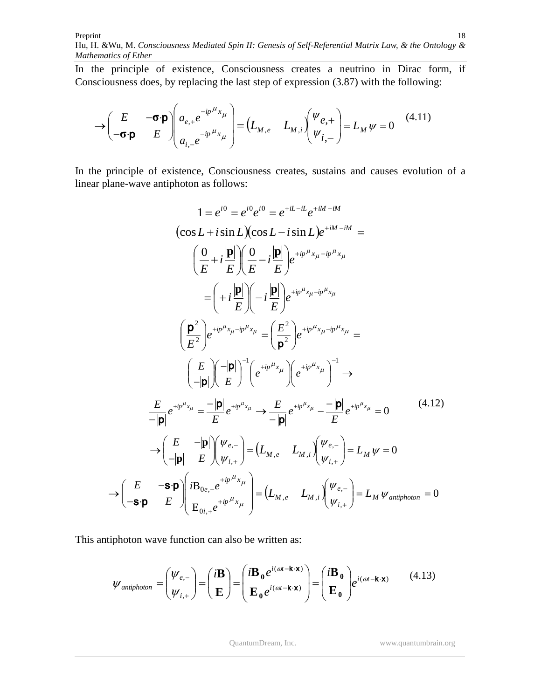In the principle of existence, Consciousness creates a neutrino in Dirac form, if Consciousness does, by replacing the last step of expression (3.87) with the following:

$$
\rightarrow \begin{pmatrix} E & -\boldsymbol{\sigma} \cdot \boldsymbol{p} \\ -\boldsymbol{\sigma} \cdot \boldsymbol{p} & E \end{pmatrix} \begin{pmatrix} a_{e,+} e^{-ip^{\mu}x_{\mu}} \\ a_{i,-} e^{-ip^{\mu}x_{\mu}} \end{pmatrix} = \begin{pmatrix} L_{M,e} & L_{M,i} \end{pmatrix} \begin{pmatrix} \psi_{e,+} \\ \psi_{i,-} \end{pmatrix} = L_M \psi = 0 \tag{4.11}
$$

In the principle of existence, Consciousness creates, sustains and causes evolution of a linear plane-wave antiphoton as follows:

$$
1 = e^{i0} = e^{i0} e^{i0} = e^{+iL - iL} e^{+iM - iM}
$$
  
\n
$$
(\cos L + i \sin L)(\cos L - i \sin L) e^{+iM - iM} =
$$
  
\n
$$
\left(\frac{0}{E} + i \frac{|\mathbf{p}|}{E}\right) \left(\frac{0}{E} - i \frac{|\mathbf{p}|}{E}\right) e^{+ip^{\mu}x_{\mu} - ip^{\mu}x_{\mu}}
$$
  
\n
$$
= \left(+i \frac{|\mathbf{p}|}{E}\right) \left(-i \frac{|\mathbf{p}|}{E}\right) e^{+ip^{\mu}x_{\mu} - ip^{\mu}x_{\mu}}
$$
  
\n
$$
\left(\frac{\mathbf{p}^{2}}{E^{2}}\right) e^{+ip^{\mu}x_{\mu} - ip^{\mu}x_{\mu}} = \left(\frac{E^{2}}{\mathbf{p}^{2}}\right) e^{+ip^{\mu}x_{\mu} - ip^{\mu}x_{\mu}}
$$
  
\n
$$
\left(\frac{E}{-|\mathbf{p}|}\right) \left(\frac{-|\mathbf{p}|}{E}\right)^{-1} \left(e^{+ip^{\mu}x_{\mu}}\right) \left(e^{+ip^{\mu}x_{\mu}}\right)^{-1} \rightarrow
$$
  
\n
$$
\frac{E}{-|\mathbf{p}|} e^{+ip^{\mu}x_{\mu}} = \frac{-|\mathbf{p}|}{E} e^{+ip^{\mu}x_{\mu}} \rightarrow \frac{E}{-|\mathbf{p}|} e^{+ip^{\mu}x_{\mu}} - \frac{-|\mathbf{p}|}{E} e^{+ip^{\mu}x_{\mu}} = 0
$$
  
\n
$$
\rightarrow \left(\frac{E}{-|\mathbf{p}|} \left(\frac{-|\mathbf{p}|}{E}\right) \left(\frac{\psi_{e,-}}{\psi_{i,+}}\right) = \left(L_{M,e} - L_{M,i}\right) \left(\frac{\psi_{e,-}}{\psi_{i,+}}\right) = L_{M} \psi = 0
$$
  
\n
$$
\rightarrow \left(\frac{E}{-s\mathbf{p}} - \frac{s\mathbf{p}}{E} \right) \left(\frac{iB_{0e,-}e^{+ip^{\mu}x_{\mu}}}{E_{0i,+}e^{+ip^{\mu}x_{\mu}}}\right) = \left(L_{M,e} - L_{M,i}\right) \left(\
$$

This antiphoton wave function can also be written as:

$$
\mathcal{W}_{antiphoton} = \begin{pmatrix} \mathcal{W}_{e,-} \\ \mathcal{W}_{i,+} \end{pmatrix} = \begin{pmatrix} i\mathbf{B} \\ \mathbf{E} \end{pmatrix} = \begin{pmatrix} i\mathbf{B}_0 e^{i(\omega t - \mathbf{k} \cdot \mathbf{x})} \\ \mathbf{E}_0 e^{i(\omega t - \mathbf{k} \cdot \mathbf{x})} \end{pmatrix} = \begin{pmatrix} i\mathbf{B}_0 \\ \mathbf{E}_0 \end{pmatrix} e^{i(\omega t - \mathbf{k} \cdot \mathbf{x})} \qquad (4.13)
$$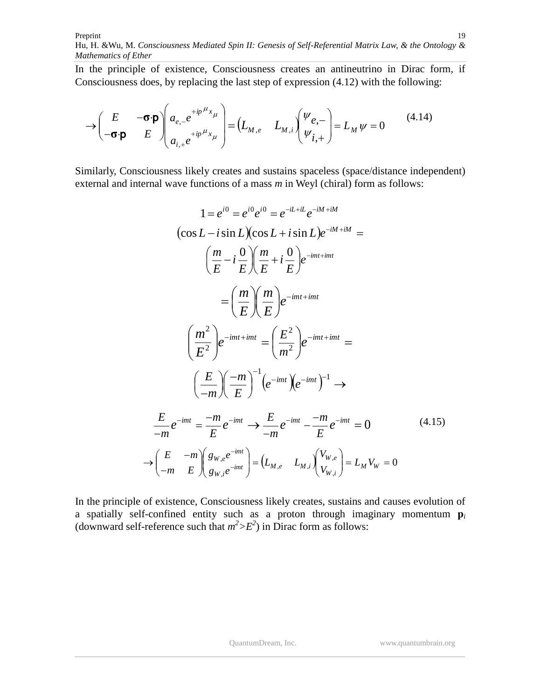In the principle of existence, Consciousness creates an antineutrino in Dirac form, if Consciousness does, by replacing the last step of expression (4.12) with the following:

$$
\rightarrow \begin{pmatrix} E & -\boldsymbol{\sigma} \cdot \boldsymbol{p} \\ -\boldsymbol{\sigma} \cdot \boldsymbol{p} & E \end{pmatrix} \begin{pmatrix} a_{e,-} e^{+ip\mu_x} \\ a_{i,+} e^{+ip\mu_x} \end{pmatrix} = \begin{pmatrix} L_{M,e} & L_{M,i} \end{pmatrix} \begin{pmatrix} \psi_{e,-} \\ \psi_{i,+} \end{pmatrix} = L_M \psi = 0 \tag{4.14}
$$

Similarly, Consciousness likely creates and sustains spaceless (space/distance independent) external and internal wave functions of a mass *m* in Weyl (chiral) form as follows:

$$
1 = e^{i0} = e^{i0} e^{i0} = e^{-iL+il} e^{-iM+ilM}
$$
  
\n
$$
(\cos L - i \sin L)(\cos L + i \sin L)e^{-iM+ilM} =
$$
  
\n
$$
\left(\frac{m}{E} - i \frac{0}{E}\right) \left(\frac{m}{E} + i \frac{0}{E}\right) e^{-imt+imt}
$$
  
\n
$$
= \left(\frac{m}{E}\right) \left(\frac{m}{E}\right) e^{-imt+imt}
$$
  
\n
$$
\left(\frac{m^2}{E^2}\right) e^{-imt+imt} = \left(\frac{E^2}{m^2}\right) e^{-imt+imt} =
$$
  
\n
$$
\left(\frac{E}{m}\right) \left(\frac{-m}{E}\right)^{-1} \left(e^{-imt}\right) \left(e^{-imt}\right)^{-1} \rightarrow
$$
  
\n
$$
\frac{E}{-m} e^{-imt} = \frac{-m}{E} e^{-imt} \rightarrow \frac{E}{-m} e^{-imt} - \frac{-m}{E} e^{-imt} = 0
$$
  
\n
$$
\rightarrow \left(\frac{E}{-m} - \frac{m}{E}\right) \left(\frac{g_{W,e}e^{-imt}}{g_{W,i}e^{-imt}}\right) = \left(L_{M,e} - L_{M,i}\right) \left(\frac{V_{W,e}}{V_{W,i}}\right) = L_M V_W = 0
$$
  
\n(4.15)

In the principle of existence, Consciousness likely creates, sustains and causes evolution of a spatially self-confined entity such as a proton through imaginary momentum **p***<sup>i</sup>* (downward self-reference such that  $m^2 > E^2$ ) in Dirac form as follows: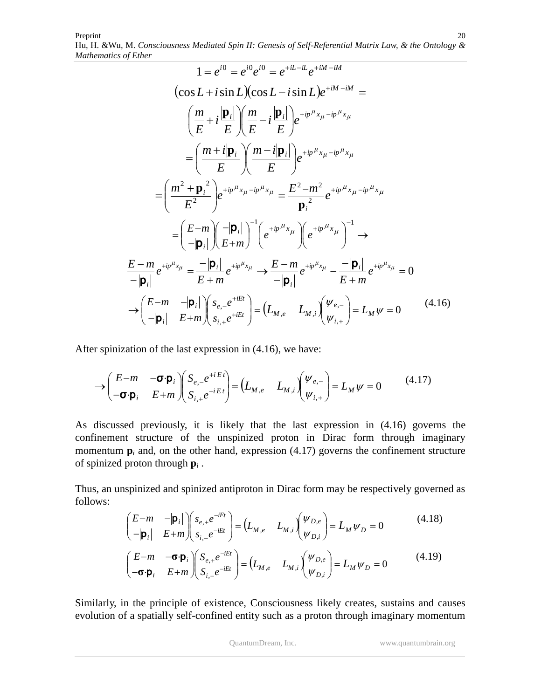Preprint Hu, H. &Wu*,* M. *Consciousness Mediated Spin II: Genesis of Self-Referential Matrix Law, & the Ontology & Mathematics of Ether* 20

$$
1 = e^{i0} = e^{i0} e^{i0} = e^{+iL - iL} e^{+iM - iM}
$$
  
\n
$$
(\cos L + i \sin L)(\cos L - i \sin L)e^{+iM - iM} =
$$
  
\n
$$
\left(\frac{m}{E} + i\frac{|\mathbf{p}_i|}{E}\right) \left(\frac{m}{E} - i\frac{|\mathbf{p}_i|}{E}\right) e^{+ip^{\mu}x_{\mu} - ip^{\mu}x_{\mu}}
$$
  
\n
$$
= \left(\frac{m + i|\mathbf{p}_i|}{E}\right) \left(\frac{m - i|\mathbf{p}_i|}{E}\right) e^{+ip^{\mu}x_{\mu} - ip^{\mu}x_{\mu}}
$$
  
\n
$$
= \left(\frac{m^2 + \mathbf{p}_i^2}{E^2}\right) e^{+ip^{\mu}x_{\mu} - ip^{\mu}x_{\mu}} = \frac{E^2 - m^2}{\mathbf{p}_i^2} e^{+ip^{\mu}x_{\mu} - ip^{\mu}x_{\mu}}
$$
  
\n
$$
= \left(\frac{E - m}{-|\mathbf{p}_i|}\right) \left(\frac{-|\mathbf{p}_i|}{E + m}\right)^{-1} \left(e^{+ip^{\mu}x_{\mu}}\right) \left(e^{+ip^{\mu}x_{\mu}}\right)^{-1} \rightarrow
$$
  
\n
$$
\frac{E - m}{-|\mathbf{p}_i|} e^{+ip^{\mu}x_{\mu}} = \frac{-|\mathbf{p}_i|}{E + m} e^{+ip^{\mu}x_{\mu}} \rightarrow \frac{E - m}{-|\mathbf{p}_i|} e^{+ip^{\mu}x_{\mu}} - \frac{-|\mathbf{p}_i|}{E + m} e^{+ip^{\mu}x_{\mu}} = 0
$$
  
\n
$$
\rightarrow \left(\frac{E - m}{-|\mathbf{p}_i|}\right) \left(\frac{S_{e,-}e^{+iEt}}{S_{i,+}e^{+iEt}}\right) = \left(L_{M,e} - L_{M,i}\right) \left(\frac{\psi_{e,-}}{\psi_{i,+}}\right) = L_M \psi = 0
$$
  
\n(4.16)

After spinization of the last expression in (4.16), we have:

Ų

*i*

 $\overline{\phantom{a}}$ 

*i*

$$
\rightarrow \begin{pmatrix} E-m & -\sigma \cdot \mathbf{p}_i \\ -\sigma \cdot \mathbf{p}_i & E+m \end{pmatrix} \begin{pmatrix} S_{e,-}e^{+iEt} \\ S_{i,+}e^{+iEt} \end{pmatrix} = \begin{pmatrix} L_{M,e} & L_{M,i} \end{pmatrix} \begin{pmatrix} \psi_{e,-} \\ \psi_{i,+} \end{pmatrix} = L_M \psi = 0 \tag{4.17}
$$

As discussed previously, it is likely that the last expression in (4.16) governs the confinement structure of the unspinized proton in Dirac form through imaginary momentum  $\mathbf{p}_i$  and, on the other hand, expression (4.17) governs the confinement structure of spinized proton through **p***<sup>i</sup>* .

Thus, an unspinized and spinized antiproton in Dirac form may be respectively governed as follows:

$$
\begin{pmatrix}\nE-m & -|\mathbf{p}_i| \\
-|\mathbf{p}_i| & E+m\n\end{pmatrix}\n\begin{pmatrix}\ns_{e,+}e^{-iEt} \\
s_{i,-}e^{-iEt}\n\end{pmatrix} = \n\begin{pmatrix}\nL_{M,e} & L_{M,i}\n\end{pmatrix}\n\begin{pmatrix}\n\Psi_{D,e} \\
\Psi_{D,i}\n\end{pmatrix} = L_M\Psi_D = 0
$$
\n(4.18)\n
$$
\begin{pmatrix}\nE-m & -\sigma \cdot \mathbf{p}_i \\
-\sigma \cdot \mathbf{p}_i & E+m\n\end{pmatrix}\n\begin{pmatrix}\nS_{e,+}e^{-iEt} \\
S_{i,-}e^{-iEt}\n\end{pmatrix} = \n\begin{pmatrix}\nL_{M,e} & L_{M,i}\n\end{pmatrix}\n\begin{pmatrix}\n\Psi_{D,e} \\
\Psi_{D,i}\n\end{pmatrix} = L_M\Psi_D = 0
$$
\n(4.19)

,

Ų

Similarly, in the principle of existence, Consciousness likely creates, sustains and causes evolution of a spatially self-confined entity such as a proton through imaginary momentum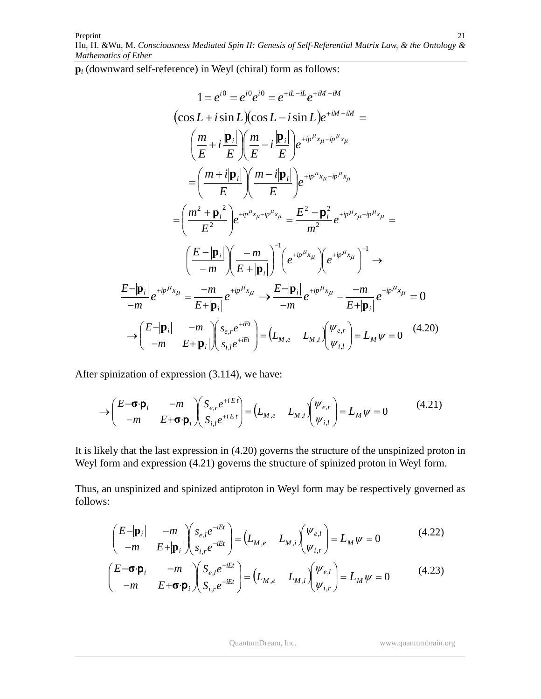**p***<sup>i</sup>* (downward self-reference) in Weyl (chiral) form as follows:

$$
1 = e^{i0} = e^{i0}e^{i0} = e^{+iL-iL}e^{+iM-iM}
$$
  
\n
$$
(\cos L + i \sin L)(\cos L - i \sin L)e^{+iM-iM} =
$$
  
\n
$$
\left(\frac{m}{E} + i\frac{|\mathbf{p}_i|}{E}\right)\left(\frac{m}{E} - i\frac{|\mathbf{p}_i|}{E}\right)e^{+ip^{\mu}x_{\mu} - ip^{\mu}x_{\mu}}
$$
  
\n
$$
= \left(\frac{m + i|\mathbf{p}_i|}{E}\right)\left(\frac{m - i|\mathbf{p}_i|}{E}\right)e^{+ip^{\mu}x_{\mu} - ip^{\mu}x_{\mu}}
$$
  
\n
$$
= \left(\frac{m^2 + \mathbf{p}_i^2}{E^2}\right)e^{+ip^{\mu}x_{\mu} - ip^{\mu}x_{\mu}} = \frac{E^2 - \mathbf{p}_i^2}{m^2}e^{+ip^{\mu}x_{\mu} - ip^{\mu}x_{\mu}} =
$$
  
\n
$$
\left(\frac{E - |\mathbf{p}_i|}{-m}\right)\left(\frac{-m}{E + |\mathbf{p}_i|}\right)^{-1}\left(e^{+ip^{\mu}x_{\mu}}\right)\left(e^{+ip^{\mu}x_{\mu}}\right)^{-1} \rightarrow
$$
  
\n
$$
\frac{E - |\mathbf{p}_i|}{-m}e^{+ip^{\mu}x_{\mu}} = \frac{-m}{E + |\mathbf{p}_i|}e^{+ip^{\mu}x_{\mu}} \rightarrow \frac{E - |\mathbf{p}_i|}{-m}e^{+ip^{\mu}x_{\mu}} - \frac{-m}{E + |\mathbf{p}_i|}e^{+ip^{\mu}x_{\mu}} = 0
$$
  
\n
$$
\rightarrow \left(\frac{E - |\mathbf{p}_i|}{-m} - \frac{-m}{E + |\mathbf{p}_i|}\right)\left(\frac{s_{e, r}e^{+iEt}}{s_{i, r}e^{+iEt}}\right) = \left(L_{M,e} - L_{M,i}\right)\left(\frac{\psi_{e, r}}{\psi_{i, l}}\right) = L_M \psi = 0 \quad (4.20)
$$

After spinization of expression (3.114), we have:

$$
\rightarrow \begin{pmatrix} E-\boldsymbol{\sigma}\cdot\boldsymbol{p}_i & -m \\ -m & E+\boldsymbol{\sigma}\cdot\boldsymbol{p}_i \end{pmatrix} \begin{pmatrix} S_{e,r}e^{+iEt} \\ S_{i,l}e^{+iEt} \end{pmatrix} = \begin{pmatrix} L_{M,e} & L_{M,i} \end{pmatrix} \begin{pmatrix} \psi_{e,r} \\ \psi_{i,l} \end{pmatrix} = L_M\psi = 0 \tag{4.21}
$$

It is likely that the last expression in (4.20) governs the structure of the unspinized proton in Weyl form and expression (4.21) governs the structure of spinized proton in Weyl form.

Thus, an unspinized and spinized antiproton in Weyl form may be respectively governed as follows:

$$
\begin{pmatrix} E-|\mathbf{p}_i| & -m \ -m & E+|\mathbf{p}_i| \end{pmatrix} \begin{pmatrix} s_{e,l}e^{-iEt} \ s_{i,r}e^{-iEt} \end{pmatrix} = \begin{pmatrix} L_{M,e} & L_{M,i} \end{pmatrix} \begin{pmatrix} \Psi_{e,l} \ \psi_{i,r} \end{pmatrix} = L_M \psi = 0 \tag{4.22}
$$

$$
\begin{pmatrix} E - \mathbf{\sigma} \cdot \mathbf{p}_i & -m \\ -m & E + \mathbf{\sigma} \cdot \mathbf{p}_i \end{pmatrix} \begin{pmatrix} S_{e,l} e^{-iEt} \\ S_{i,r} e^{-iEt} \end{pmatrix} = \begin{pmatrix} L_{M,e} & L_{M,i} \end{pmatrix} \begin{pmatrix} \psi_{e,l} \\ \psi_{i,r} \end{pmatrix} = L_M \psi = 0 \tag{4.23}
$$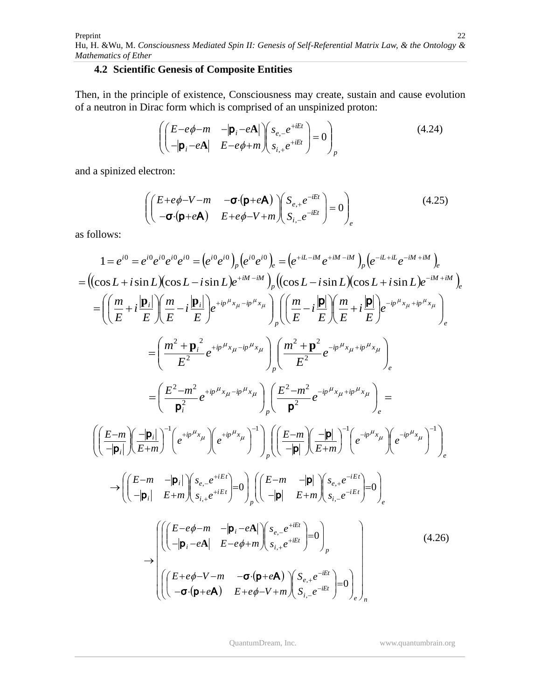## **4.2 Scientific Genesis of Composite Entities**

Then, in the principle of existence, Consciousness may create, sustain and cause evolution of a neutron in Dirac form which is comprised of an unspinized proton:

$$
\left( \begin{pmatrix} E - e\phi - m & -|\mathbf{p}_i - e\mathbf{A}| \\ -|\mathbf{p}_i - e\mathbf{A}| & E - e\phi + m \end{pmatrix} \begin{pmatrix} s_{e,-}e^{+iEt} \\ s_{i,+}e^{+iEt} \end{pmatrix} = 0 \right)_p
$$
\n(4.24)

and a spinized electron:

$$
\begin{pmatrix}\n(E+e\phi-V-m & -\sigma(p+eA) \\
-\sigma(p+eA) & E+e\phi-V+m\n\end{pmatrix}\n\begin{pmatrix}\nS_{e,+}e^{-iEt} \\
S_{i,-}e^{-iEt}\n\end{pmatrix} = 0\n\end{pmatrix}_e
$$
\n(4.25)

as follows:

$$
1 = e^{i0} = e^{i0} e^{i0} e^{i0} e^{i0} = (e^{i0} e^{i0})_p (e^{i0} e^{i0})_e = (e^{+iL-iM} e^{+iM-iM})_p (e^{-iL+iL} e^{-iM+iM})_e
$$
  
\n
$$
= ((\cos L + i \sin L)(\cos L - i \sin L) e^{+iM-iM})_p ((\cos L - i \sin L)(\cos L + i \sin L) e^{-iM+iM})_e
$$
  
\n
$$
= \left( \left( \frac{m}{E} + i \frac{|\mathbf{p}_i|}{E} \right) \left( \frac{m}{E} - i \frac{|\mathbf{p}_i|}{E} \right) e^{+ip\mu_{x_{\mu}} - ip\mu_{x_{\mu}}}} \right)_{p} \left( \left( \frac{m}{E} - i \frac{|\mathbf{p}|}{E} \right) \left( \frac{m}{E} + i \frac{|\mathbf{p}|}{E} \right) e^{-ip\mu_{x_{\mu}} + ip\mu_{x_{\mu}}}} \right)_{e}
$$
  
\n
$$
= \left( \frac{m^2 + \mathbf{p}_i^2}{E^2} e^{+ip\mu_{x_{\mu}} - ip\mu_{x_{\mu}}}} \right)_{p} \left( \frac{m^2 + \mathbf{p}^2}{E^2} e^{-ip\mu_{x_{\mu}} + ip\mu_{x_{\mu}}}} \right)_{e}
$$
  
\n
$$
= \left( \frac{E^{-m}}{\mathbf{p}_i^2} e^{+ip\mu_{x_{\mu}} - ip\mu_{x_{\mu}}}} \right) \left( \frac{E^{-m}}{\mathbf{p}^2} e^{-ip\mu_{x_{\mu}} + ip\mu_{x_{\mu}}}} \right)_{e}
$$
  
\n
$$
\left( \left( \frac{E^{-m}}{-|\mathbf{p}_i|} \right) \left( \frac{-|\mathbf{p}_i|}{E+m} \right)^{-1} \left( e^{+ip\mu_{x_{\mu}}}} \right) e^{+ip\mu_{x_{\mu}}}} \right) \right) \left( \left( \frac{E^{-m}}{-|\mathbf{p}|} \right) \left( \frac{-|\mathbf{p}|}{E+m} \right)^{-1} \left( e^{-ip\mu_{x_{\mu}}}} \right) e^{-ip\mu_{x_{\mu}}}
$$
  
\n
$$
\rightarrow \left
$$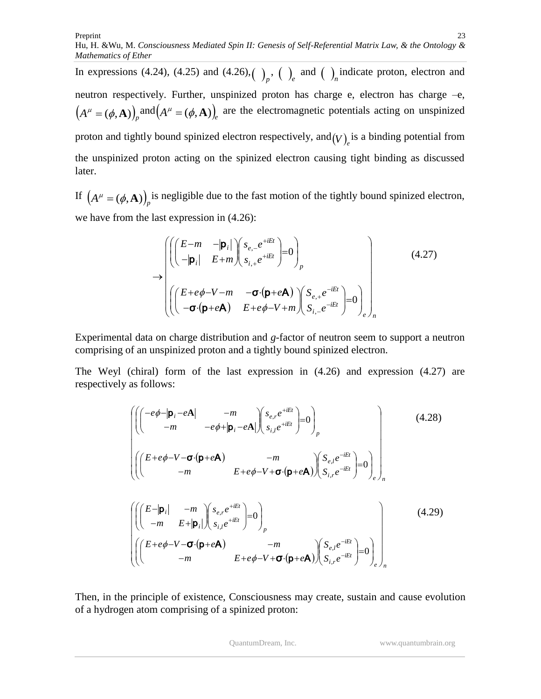In expressions (4.24), (4.25) and (4.26),  $\binom{p}{r}$ ,  $\binom{p}{r}$  and  $\binom{p}{r}$  indicate proton, electron and neutron respectively. Further, unspinized proton has charge e, electron has charge –e,  $(A^{\mu} = (\phi, \mathbf{A}))$ <sub>p</sub> and  $(A^{\mu} = (\phi, \mathbf{A}))$ <sub>e</sub> are the electromagnetic potentials acting on unspinized proton and tightly bound spinized electron respectively, and  $(V)$ <sub>e</sub> is a binding potential from the unspinized proton acting on the spinized electron causing tight binding as discussed

If  $(A^{\mu} = (\phi, \mathbf{A})\big)_{p}$  is negligible due to the fast motion of the tightly bound spinized electron, we have from the last expression in (4.26):

later.

$$
\rightarrow \begin{pmatrix}\n\left(\begin{pmatrix} E-m & -|\mathbf{p}_i| \\ -|\mathbf{p}_i| & E+m \end{pmatrix} \begin{pmatrix} s_{e,-}e^{+iEt} \\ s_{i,+}e^{+iEt} \end{pmatrix} = 0 \right)_p \\
\left(\begin{pmatrix} E+e\phi-V-m & -\sigma\cdot(\mathbf{p}+e\mathbf{A}) \\ -\sigma\cdot(\mathbf{p}+e\mathbf{A}) & E+e\phi-V+m \end{pmatrix} \begin{pmatrix} S_{e,+}e^{-iEt} \\ S_{i,-}e^{-iEt} \end{pmatrix} = 0 \right)_e \right)_n\n(4.27)
$$

Experimental data on charge distribution and *g*-factor of neutron seem to support a neutron comprising of an unspinized proton and a tightly bound spinized electron.

The Weyl (chiral) form of the last expression in (4.26) and expression (4.27) are respectively as follows:

$$
\left(\left(\begin{pmatrix} -e\phi - |\mathbf{p}_i - e\mathbf{A}| & -m \\ -m & -e\phi + |\mathbf{p}_i - e\mathbf{A}| \end{pmatrix} \begin{pmatrix} s_{e,r}e^{+iEt} \\ s_{i,l}e^{+iEt} \end{pmatrix} = 0\right)_p \right) \qquad (4.28)
$$
\n
$$
\left(\left(\begin{pmatrix} E + e\phi - V - \sigma \cdot (\mathbf{p} + e\mathbf{A}) & -m \\ -m & E + e\phi - V + \sigma \cdot (\mathbf{p} + e\mathbf{A}) \end{pmatrix} \begin{pmatrix} S_{e,l}e^{-iEt} \\ S_{i,r}e^{-iEt} \end{pmatrix} = 0\right)_p \right)
$$
\n
$$
\left(\left(\begin{pmatrix} E - |\mathbf{p}_i| & -m \\ -m & E + |\mathbf{p}_i| \end{pmatrix} \begin{pmatrix} s_{e,r}e^{+iEt} \\ s_{i,l}e^{+iEt} \end{pmatrix} = 0\right)_p - m \right) \begin{pmatrix} S_{e,l}e^{-iEt} \\ S_{i,l}e^{-iEt} \end{pmatrix} = 0\right)\right) \qquad (4.29)
$$
\n
$$
\left(\left(\begin{pmatrix} E + e\phi - V - \sigma \cdot (\mathbf{p} + e\mathbf{A}) & -m \\ -m & E + e\phi - V + \sigma \cdot (\mathbf{p} + e\mathbf{A}) \end{pmatrix} \begin{pmatrix} S_{e,l}e^{-iEt} \\ S_{i,l}e^{-iEt} \end{pmatrix} = 0\right)\right)
$$

 $\left(\mathbf{p}+e\mathbf{A}\right)\int_{i,r}S_{i,r}e^{-iEt}\int_{r}^{r}\int_{r}^{r}$  $e^{-iEt}$ 

 $\overline{ }$ 

 $\int_{-\infty}^{\infty}$ 

 $\int_{\epsilon}$ 

J

 $S_i e^{-t}$ 

,

Ų

八

 $p+eA)$ 

Then, in the principle of existence, Consciousness may create, sustain and cause evolution of a hydrogen atom comprising of a spinized proton:

σ

*m*  $E+e\phi-V+\sigma\cdot(\mathbf{p}+e\mathbf{p})$ 

 $\phi$ -

 $-m$   $E+e\phi-V+\sigma\cdot(\mathbf{p}+e)$ 

H

Ņ

Ų

 $\setminus$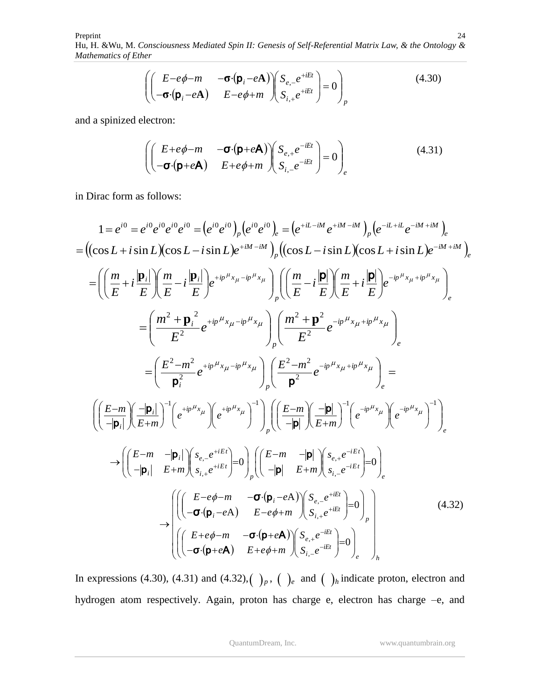$$
\left( \begin{pmatrix} E - e\phi - m & -\boldsymbol{\sigma} \cdot (\boldsymbol{p}_i - e\boldsymbol{A}) \\ -\boldsymbol{\sigma} \cdot (\boldsymbol{p}_i - e\boldsymbol{A}) & E - e\phi + m \end{pmatrix} \begin{pmatrix} S_{e,-} e^{+iEt} \\ S_{i,+} e^{+iEt} \end{pmatrix} = 0 \right)_p
$$
\n(4.30)

and a spinized electron:

$$
\left( \begin{pmatrix} E + e\phi - m & -\sigma \cdot (\mathbf{p} + e\mathbf{A}) \\ -\sigma \cdot (\mathbf{p} + e\mathbf{A}) & E + e\phi + m \end{pmatrix} \begin{pmatrix} S_{e,+}e^{-iEt} \\ S_{i,-}e^{-iEt} \end{pmatrix} = 0 \right)_e
$$
\n(4.31)

in Dirac form as follows:

$$
1 = e^{i0} = e^{i0} e^{i0} e^{i0} e^{i0} = (e^{i0} e^{i0})_p (e^{i0} e^{i0})_e = (e^{+iL-iM} e^{+iM-iM})_p (e^{-iL+it} e^{-iM+iM})_e
$$
  
\n
$$
= ((\cos L + i \sin L)(\cos L - i \sin L) e^{+iM-iM})_p ((\cos L - i \sin L)(\cos L + i \sin L) e^{-iM+iM})_e
$$
  
\n
$$
= \left( \left( \frac{m}{E} + i \frac{|\mathbf{p}_i|}{E} \right) \left( \frac{m}{E} - i \frac{|\mathbf{p}_i|}{E} \right) e^{+ip\mu_{x_{\mu} - ip\mu_{x_{\mu}}}} \right)_p \left( \left( \frac{m}{E} - i \frac{|\mathbf{p}|}{E} \right) \left( \frac{m}{E} + i \frac{|\mathbf{p}|}{E} \right) e^{-ip\mu_{x_{\mu} + ip\mu_{x_{\mu}}}} \right)_e
$$
  
\n
$$
= \left( \frac{m^2 + \mathbf{p}_i^2}{E^2} e^{+ip\mu_{x_{\mu} - ip\mu_{x_{\mu}}}} \right)_p \left( \frac{m^2 + \mathbf{p}^2}{E^2} e^{-ip\mu_{x_{\mu} + ip\mu_{x_{\mu}}}} \right)_e
$$
  
\n
$$
= \left( \frac{E - m^2}{\mathbf{p}_i^2} e^{+ip\mu_{x_{\mu} - ip\mu_{x_{\mu}}}} \right)_p \left( \frac{E - m^2}{\mathbf{p}^2} e^{-ip\mu_{x_{\mu} + ip\mu_{x_{\mu}}}} \right)_e =
$$
  
\n
$$
\left( \left( \frac{E - m}{-|\mathbf{p}_i|} \right) \left( \frac{-|\mathbf{p}_i|}{E + m} \right)^{-1} \left( e^{+ip\mu_{x_{\mu}}}} \right)^{-1} \right)_p \left( \left( \frac{E - m}{-|\mathbf{p}|} \right) \left( \frac{-|\mathbf{p}|}{E + m} \right)^{-1} \left( e^{-ip\mu_{x_{\mu}}}} \right)^{-1} \right)_e
$$
  
\n
$$
\rightarrow \left( \left( \frac{E - m}{-|\mathbf
$$

In expressions (4.30), (4.31) and (4.32),  $\left(\begin{array}{c} p \end{array}\right)_p$ ,  $\left(\begin{array}{c} p \end{array}\right)_e$  and  $\left(\begin{array}{c} p \end{array}\right)_h$  indicate proton, electron and hydrogen atom respectively. Again, proton has charge e, electron has charge –e, and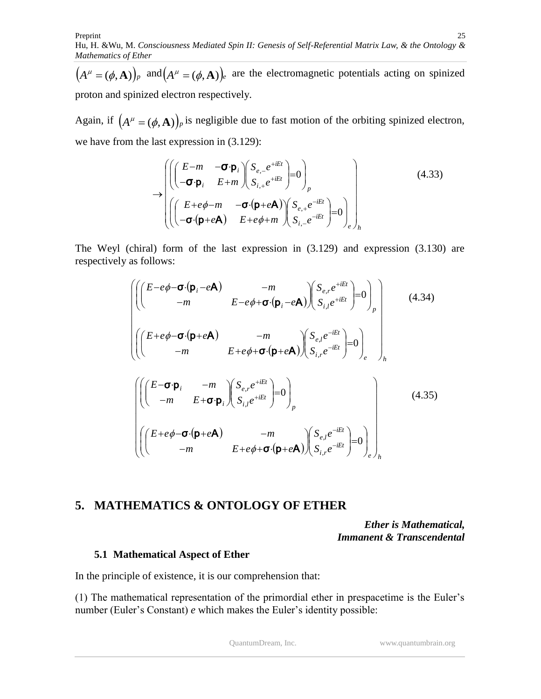$(A^{\mu} = (\phi, \mathbf{A}))_p$  and  $(A^{\mu} = (\phi, \mathbf{A}))_e$  are the electromagnetic potentials acting on spinized proton and spinized electron respectively.

Again, if  $(A^{\mu} = (\phi, \mathbf{A}))_p$  is negligible due to fast motion of the orbiting spinized electron, we have from the last expression in (3.129):

$$
\rightarrow \begin{pmatrix}\n\left(\begin{pmatrix} E-m & -\sigma \cdot \mathbf{p}_i \\ -\sigma \cdot \mathbf{p}_i & E+m \end{pmatrix} \begin{pmatrix} S_{e,-}e^{+iEt} \\ S_{i,+}e^{+iEt} \end{pmatrix} = 0 \right)_p \\
\left(\begin{pmatrix} E+e\phi-m & -\sigma \cdot (\mathbf{p}+e\mathbf{A}) \\ -\sigma \cdot (\mathbf{p}+e\mathbf{A}) & E+e\phi+m \end{pmatrix} \begin{pmatrix} S_{e,+}e^{-iEt} \\ S_{i,-}e^{-iEt} \end{pmatrix} = 0 \right)_e \right)_h\n\tag{4.33}
$$

The Weyl (chiral) form of the last expression in (3.129) and expression (3.130) are respectively as follows:

$$
\left(\left(\begin{pmatrix} E-e\phi-\sigma\cdot(\mathbf{p}_{i}-e\mathbf{A}) & -m \\ -m & E-e\phi+\sigma\cdot(\mathbf{p}_{i}-e\mathbf{A}) \end{pmatrix} \begin{pmatrix} S_{e,r}e^{+iEt} \\ S_{i,l}e^{+iEt} \end{pmatrix} = 0\right)_{p} \right) (4.34)
$$
\n
$$
\left(\left(\begin{pmatrix} E+e\phi-\sigma\cdot(\mathbf{p}+e\mathbf{A}) & -m \\ -m & E+e\phi+\sigma\cdot(\mathbf{p}+e\mathbf{A}) \end{pmatrix} \begin{pmatrix} S_{e,l}e^{-iEt} \\ S_{i,r}e^{-iEt} \end{pmatrix} = 0\right)_{h}
$$
\n
$$
\left(\left(\begin{pmatrix} E-\sigma\cdot\mathbf{p}_{i} & -m \\ -m & E+\sigma\cdot\mathbf{p}_{i} \end{pmatrix} \begin{pmatrix} S_{e,r}e^{+iEt} \\ S_{i,l}e^{+iEt} \end{pmatrix} = 0\right)_{p}
$$
\n
$$
\left(\left(\begin{pmatrix} E+e\phi-\sigma\cdot(\mathbf{p}+e\mathbf{A}) & -m \\ -m & E+e\phi+\sigma\cdot(\mathbf{p}+e\mathbf{A}) \end{pmatrix} \begin{pmatrix} S_{e,l}e^{-iEt} \\ S_{i,r}e^{-iEt} \end{pmatrix} = 0\right)_{e}\right)_{h}
$$
\n(4.35)

# **5. MATHEMATICS & ONTOLOGY OF ETHER**

*Ether is Mathematical, Immanent & Transcendental*

### **5.1 Mathematical Aspect of Ether**

In the principle of existence, it is our comprehension that:

(1) The mathematical representation of the primordial ether in prespacetime is the Euler's number (Euler's Constant) *e* which makes the Euler's identity possible: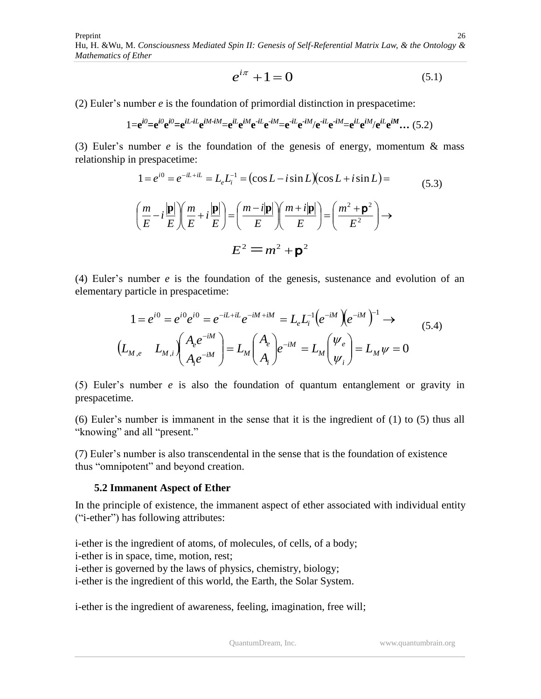Preprint Hu, H. &Wu*,* M. *Consciousness Mediated Spin II: Genesis of Self-Referential Matrix Law, & the Ontology & Mathematics of Ether* 26

$$
e^{i\pi} + 1 = 0\tag{5.1}
$$

(2) Euler's number *e* is the foundation of primordial distinction in prespacetime:

$$
1 = e^{i0} = e^{i0} e^{i0} = e^{iL \cdot iL} e^{iM \cdot iM} = e^{iL} e^{iM} e^{-iL} e^{-iM} = e^{-iL} e^{-iM} / e^{-iL} e^{-iM} = e^{iL} e^{iM} / e^{iL} e^{iM} \dots (5.2)
$$

(3) Euler's number *e* is the foundation of the genesis of energy, momentum & mass relationship in prespacetime:

$$
1 = e^{i0} = e^{-iL + iL} = L_e L_i^{-1} = (\cos L - i \sin L)(\cos L + i \sin L) =
$$
  
\n
$$
\left(\frac{m}{E} - i\frac{|\mathbf{p}|}{E}\right) \left(\frac{m}{E} + i\frac{|\mathbf{p}|}{E}\right) = \left(\frac{m - i|\mathbf{p}|}{E}\right) \left(\frac{m + i|\mathbf{p}|}{E}\right) = \left(\frac{m^2 + \mathbf{p}^2}{E^2}\right) \rightarrow
$$
  
\n
$$
E^2 = m^2 + \mathbf{p}^2
$$
\n(5.3)

(4) Euler's number *e* is the foundation of the genesis, sustenance and evolution of an elementary particle in prespacetime:

$$
1 = e^{i0} = e^{i0} e^{i0} = e^{-iL + iL} e^{-iM + iM} = L_e L_i^{-1} (e^{-iM}) (e^{-iM})^{-1} \rightarrow
$$
  
\n
$$
(L_{M,e} L_{M,i}) (A_e e^{-iM}) = L_M (A_e) e^{-iM} = L_M (V_e) = L_M \psi = 0
$$
  
\n(5.4)

(5) Euler's number *e* is also the foundation of quantum entanglement or gravity in prespacetime.

(6) Euler's number is immanent in the sense that it is the ingredient of (1) to (5) thus all "knowing" and all "present."

(7) Euler's number is also transcendental in the sense that is the foundation of existence thus "omnipotent" and beyond creation.

#### **5.2 Immanent Aspect of Ether**

In the principle of existence, the immanent aspect of ether associated with individual entity ("i-ether") has following attributes:

i-ether is the ingredient of atoms, of molecules, of cells, of a body; i-ether is in space, time, motion, rest; i-ether is governed by the laws of physics, chemistry, biology; i-ether is the ingredient of this world, the Earth, the Solar System.

i-ether is the ingredient of awareness, feeling, imagination, free will;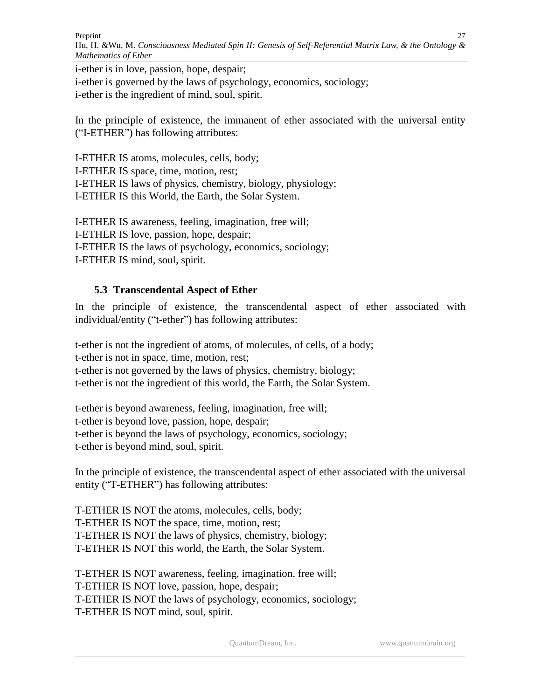i-ether is in love, passion, hope, despair; i-ether is governed by the laws of psychology, economics, sociology; i-ether is the ingredient of mind, soul, spirit.

In the principle of existence, the immanent of ether associated with the universal entity ("I-ETHER") has following attributes:

I-ETHER IS atoms, molecules, cells, body; I-ETHER IS space, time, motion, rest; I-ETHER IS laws of physics, chemistry, biology, physiology; I-ETHER IS this World, the Earth, the Solar System.

I-ETHER IS awareness, feeling, imagination, free will; I-ETHER IS love, passion, hope, despair; I-ETHER IS the laws of psychology, economics, sociology; I-ETHER IS mind, soul, spirit.

# **5.3 Transcendental Aspect of Ether**

In the principle of existence, the transcendental aspect of ether associated with individual/entity ("t-ether") has following attributes:

t-ether is not the ingredient of atoms, of molecules, of cells, of a body; t-ether is not in space, time, motion, rest; t-ether is not governed by the laws of physics, chemistry, biology; t-ether is not the ingredient of this world, the Earth, the Solar System.

t-ether is beyond awareness, feeling, imagination, free will; t-ether is beyond love, passion, hope, despair; t-ether is beyond the laws of psychology, economics, sociology; t-ether is beyond mind, soul, spirit.

In the principle of existence, the transcendental aspect of ether associated with the universal entity ("T-ETHER") has following attributes:

T-ETHER IS NOT the atoms, molecules, cells, body; T-ETHER IS NOT the space, time, motion, rest; T-ETHER IS NOT the laws of physics, chemistry, biology; T-ETHER IS NOT this world, the Earth, the Solar System.

T-ETHER IS NOT awareness, feeling, imagination, free will; T-ETHER IS NOT love, passion, hope, despair; T-ETHER IS NOT the laws of psychology, economics, sociology; T-ETHER IS NOT mind, soul, spirit.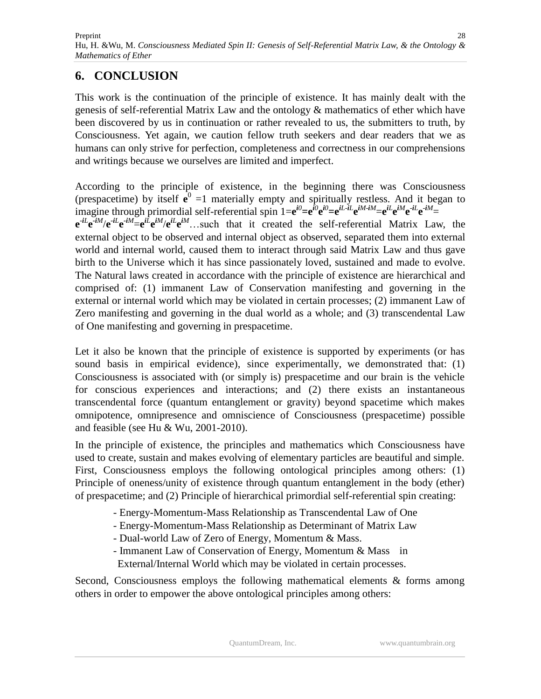# **6. CONCLUSION**

This work is the continuation of the principle of existence. It has mainly dealt with the genesis of self-referential Matrix Law and the ontology & mathematics of ether which have been discovered by us in continuation or rather revealed to us, the submitters to truth, by Consciousness. Yet again, we caution fellow truth seekers and dear readers that we as humans can only strive for perfection, completeness and correctness in our comprehensions and writings because we ourselves are limited and imperfect.

According to the principle of existence, in the beginning there was Consciousness (prespacetime) by itself  $\mathbf{e}^0$  =1 materially empty and spiritually restless. And it began to imagine through primordial self-referential spin  $1=e^{i0}$ = $e^{i0}$  $e^{i0}$ = $e^{iL}$  $iL$  $e^{iM}$  $iM$ = $e^{iL}$  $e^{iM}$  $e^{-iL}$  $e^{iM}$ =  $e^{-iL}e^{-iM}/e^{-iL}e^{-iM}=e^{iL}e^{iM}/e^{iL}e^{iM}$ ...such that it created the self-referential Matrix Law, the external object to be observed and internal object as observed, separated them into external world and internal world, caused them to interact through said Matrix Law and thus gave birth to the Universe which it has since passionately loved, sustained and made to evolve. The Natural laws created in accordance with the principle of existence are hierarchical and comprised of: (1) immanent Law of Conservation manifesting and governing in the external or internal world which may be violated in certain processes; (2) immanent Law of Zero manifesting and governing in the dual world as a whole; and (3) transcendental Law of One manifesting and governing in prespacetime.

Let it also be known that the principle of existence is supported by experiments (or has sound basis in empirical evidence), since experimentally, we demonstrated that: (1) Consciousness is associated with (or simply is) prespacetime and our brain is the vehicle for conscious experiences and interactions; and (2) there exists an instantaneous transcendental force (quantum entanglement or gravity) beyond spacetime which makes omnipotence, omnipresence and omniscience of Consciousness (prespacetime) possible and feasible (see Hu & Wu, 2001-2010).

In the principle of existence, the principles and mathematics which Consciousness have used to create, sustain and makes evolving of elementary particles are beautiful and simple. First, Consciousness employs the following ontological principles among others: (1) Principle of oneness/unity of existence through quantum entanglement in the body (ether) of prespacetime; and (2) Principle of hierarchical primordial self-referential spin creating:

- Energy-Momentum-Mass Relationship as Transcendental Law of One
- Energy-Momentum-Mass Relationship as Determinant of Matrix Law
- Dual-world Law of Zero of Energy, Momentum & Mass.
- Immanent Law of Conservation of Energy, Momentum & Mass in
- External/Internal World which may be violated in certain processes.

Second, Consciousness employs the following mathematical elements & forms among others in order to empower the above ontological principles among others: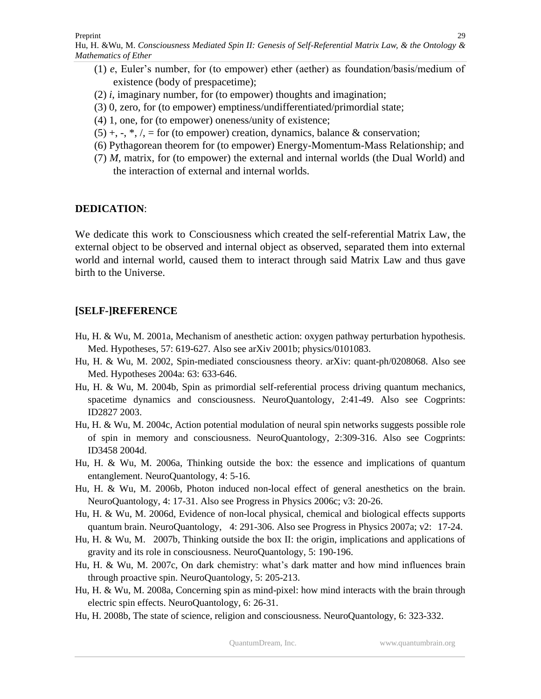Hu, H. &Wu*,* M. *Consciousness Mediated Spin II: Genesis of Self-Referential Matrix Law, & the Ontology & Mathematics of Ether* 29

- (1) *e*, Euler's number, for (to empower) ether (aether) as foundation/basis/medium of existence (body of prespacetime);
- (2) *i*, imaginary number, for (to empower) thoughts and imagination;
- (3) 0, zero, for (to empower) emptiness/undifferentiated/primordial state;
- (4) 1, one, for (to empower) oneness/unity of existence;
- $(5) +$ ,  $\cdot$ ,  $\cdot$ ,  $\cdot$ ,  $\cdot$  for (to empower) creation, dynamics, balance & conservation;
- (6) Pythagorean theorem for (to empower) Energy-Momentum-Mass Relationship; and
- (7) *M*, matrix, for (to empower) the external and internal worlds (the Dual World) and the interaction of external and internal worlds.

## **DEDICATION**:

We dedicate this work to Consciousness which created the self-referential Matrix Law, the external object to be observed and internal object as observed, separated them into external world and internal world, caused them to interact through said Matrix Law and thus gave birth to the Universe.

# **[SELF-]REFERENCE**

- Hu, H. & Wu, M. 2001a, Mechanism of anesthetic action: oxygen pathway perturbation hypothesis. Med. Hypotheses, 57: 619-627. Also see arXiv 2001b; physics/0101083.
- Hu, H. & Wu, M. 2002, Spin-mediated consciousness theory. arXiv: quant-ph/0208068. Also see Med. Hypotheses 2004a: 63: 633-646.
- Hu, H. & Wu, M. 2004b, Spin as primordial self-referential process driving quantum mechanics, spacetime dynamics and consciousness. NeuroQuantology, 2:41-49. Also see Cogprints: ID2827 2003.
- Hu, H. & Wu, M. 2004c, Action potential modulation of neural spin networks suggests possible role of spin in memory and consciousness. NeuroQuantology, 2:309-316. Also see Cogprints: ID3458 2004d.
- Hu, H. & Wu, M. 2006a, Thinking outside the box: the essence and implications of quantum entanglement. NeuroQuantology, 4: 5-16.
- Hu, H. & Wu, M. 2006b, Photon induced non-local effect of general anesthetics on the brain. NeuroQuantology, 4: 17-31. Also see Progress in Physics 2006c; v3: 20-26.
- Hu, H. & Wu, M. 2006d, Evidence of non-local physical, chemical and biological effects supports quantum brain. NeuroQuantology, 4: 291-306. Also see Progress in Physics 2007a; v2: 17-24.
- Hu, H. & Wu, M. 2007b, Thinking outside the box II: the origin, implications and applications of gravity and its role in consciousness. NeuroQuantology, 5: 190-196.
- Hu, H. & Wu, M. 2007c, On dark chemistry: what's dark matter and how mind influences brain through proactive spin. NeuroQuantology, 5: 205-213.
- Hu, H. & Wu, M. 2008a, Concerning spin as mind-pixel: how mind interacts with the brain through electric spin effects. NeuroQuantology, 6: 26-31.
- Hu, H. 2008b, The state of science, religion and consciousness. NeuroQuantology, 6: 323-332.